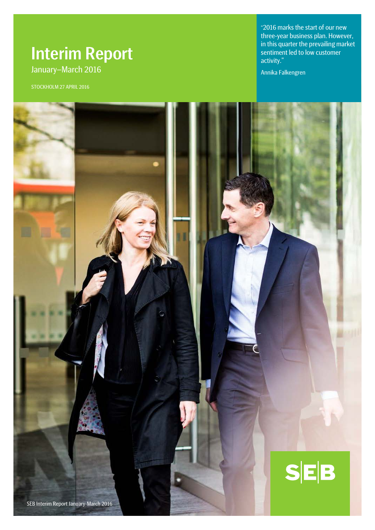# Interim Report January–March 2016

STOCKHOLM 27 APRIL 2016

"2016 marks the start of our new three-year business plan. However, in this quarter the prevailing market sentiment led to low customer activity."

Annika Falkengren

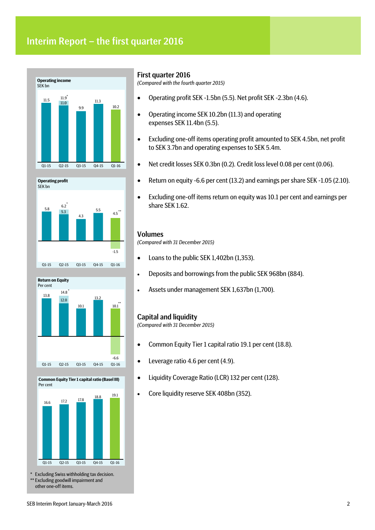# Interim Report – the first quarter 2016









**Common Equity Tier 1 capital ratio (Basel III)**

\* Excluding Swiss withholding tax decision. **Excluding goodwill impairment and** other one-off items.

### First quarter 2016

*(Compared with the fourth quarter 2015)*

- Operating profit SEK -1.5bn (5.5). Net profit SEK -2.3bn (4.6).
- Operating income SEK 10.2bn (11.3) and operating expenses SEK 11.4bn (5.5).
- Excluding one-off items operating profit amounted to SEK 4.5bn, net profit to SEK 3.7bn and operating expenses to SEK 5.4m.
- Net credit losses SEK 0.3bn (0.2). Credit loss level 0.08 per cent (0.06).
- Return on equity -6.6 per cent (13.2) and earnings per share SEK -1.05 (2.10).
- Excluding one-off items return on equity was 10.1 per cent and earnings per share SEK 1.62.

#### Volumes

*(Compared with 31 December 2015)*

- Loans to the public SEK 1,402bn (1,353).
- Deposits and borrowings from the public SEK 968bn (884).
- Assets under management SEK 1,637bn (1,700).

#### Capital and liquidity

*(Compared with 31 December 2015)*

- Common Equity Tier 1 capital ratio 19.1 per cent (18.8).
- Leverage ratio 4.6 per cent (4.9).
- Liquidity Coverage Ratio (LCR) 132 per cent (128).
- Core liquidity reserve SEK 408bn (352).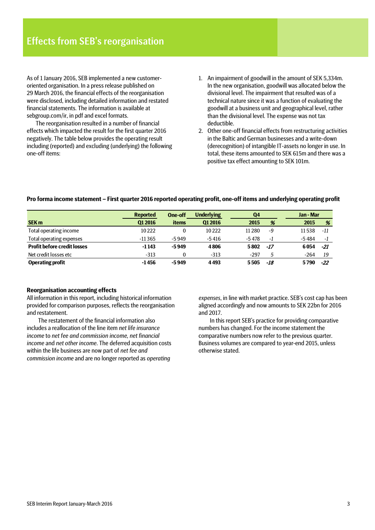As of 1 January 2016, SEB implemented a new customeroriented organisation. In a press release published on 29 March 2016, the financial effects of the reorganisation were disclosed, including detailed information and restated financial statements. The information is available at sebgroup.com/ir, in pdf and excel formats.

The reorganisation resulted in a number of financial effects which impacted the result for the first quarter 2016 negatively. The table below provides the operating result including (reported) and excluding (underlying) the following one-off items:

- 1. An impairment of goodwill in the amount of SEK 5,334m. In the new organisation, goodwill was allocated below the divisional level. The impairment that resulted was of a technical nature since it was a function of evaluating the goodwill at a business unit and geographical level, rather than the divisional level. The expense was not tax deductible.
- 2. Other one-off financial effects from restructuring activities in the Baltic and German businesses and a write-down (derecognition) of intangible IT-assets no longer in use. In total, these items amounted to SEK 615m and there was a positive tax effect amounting to SEK 101m.

#### **Pro forma income statement – First quarter 2016 reported operating profit, one-off items and underlying operating profit**

|                                    | <b>Reported</b> | <b>One-off</b> | <b>Underlying</b> | Q4       |       | Jan - Mar |       |
|------------------------------------|-----------------|----------------|-------------------|----------|-------|-----------|-------|
| <b>SEK m</b>                       | <b>Q12016</b>   | <b>items</b>   | 01 2016           | 2015     | %     | 2015      | %     |
| Total operating income             | 10222           | $\theta$       | 10222             | 11 2 8 0 | -9    | 11538     | -11   |
| Total operating expenses           | $-11365$        | $-5949$        | $-5416$           | $-5478$  | - 1   | $-5484$   | -1    |
| <b>Profit before credit losses</b> | $-1143$         | $-5949$        | 4806              | 5802     | $-17$ | 6054      | -21   |
| Net credit losses etc              | $-313$          |                | $-313$            | $-297$   | 5     | $-264$    | 19    |
| <b>Operating profit</b>            | $-1456$         | $-5949$        | 4493              | 5505     | -18   | 5790      | $-22$ |

#### **Reorganisation accounting effects**

All information in this report, including historical information provided for comparison purposes, reflects the reorganisation and restatement.

The restatement of the financial information also includes a reallocation of the line item *net life insurance income* to *net fee and commission income, net financial income* and *net other income*. The deferred acquisition costs within the life business are now part of *net fee and commission income* and are no longer reported as *operating* 

*expenses*, in line with market practice. SEB's cost cap has been aligned accordingly and now amounts to SEK 22bn for 2016 and 2017.

In this report SEB's practice for providing comparative numbers has changed. For the income statement the comparative numbers now refer to the previous quarter. Business volumes are compared to year-end 2015, unless otherwise stated.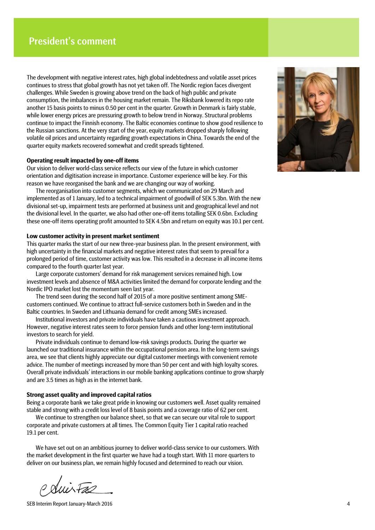The development with negative interest rates, high global indebtedness and volatile asset prices continues to stress that global growth has not yet taken off. The Nordic region faces divergent challenges. While Sweden is growing above trend on the back of high public and private consumption, the imbalances in the housing market remain. The Riksbank lowered its repo rate another 15 basis points to minus 0.50 per cent in the quarter. Growth in Denmark is fairly stable, while lower energy prices are pressuring growth to below trend in Norway. Structural problems continue to impact the Finnish economy. The Baltic economies continue to show good resilience to the Russian sanctions. At the very start of the year, equity markets dropped sharply following volatile oil prices and uncertainty regarding growth expectations in China. Towards the end of the quarter equity markets recovered somewhat and credit spreads tightened.

#### **Operating result impacted by one-off items**

Our vision to deliver world-class service reflects our view of the future in which customer orientation and digitisation increase in importance. Customer experience will be key. For this reason we have reorganised the bank and we are changing our way of working.

The reorganisation into customer segments, which we communicated on 29 March and implemented as of 1 January, led to a technical impairment of goodwill of SEK 5.3bn. With the new divisional set-up, impairment tests are performed at business unit and geographical level and not the divisional level. In the quarter, we also had other one-off items totalling SEK 0.6bn. Excluding these one-off items operating profit amounted to SEK 4.5bn and return on equity was 10.1 per cent.

#### **Low customer activity in present market sentiment**

This quarter marks the start of our new three-year business plan. In the present environment, with high uncertainty in the financial markets and negative interest rates that seem to prevail for a prolonged period of time, customer activity was low. This resulted in a decrease in all income items compared to the fourth quarter last year.

Large corporate customers' demand for risk management services remained high. Low investment levels and absence of M&A activities limited the demand for corporate lending and the Nordic IPO market lost the momentum seen last year.

The trend seen during the second half of 2015 of a more positive sentiment among SMEcustomers continued. We continue to attract full-service customers both in Sweden and in the Baltic countries. In Sweden and Lithuania demand for credit among SMEs increased.

Institutional investors and private individuals have taken a cautious investment approach. However, negative interest rates seem to force pension funds and other long-term institutional investors to search for yield.

Private individuals continue to demand low-risk savings products. During the quarter we launched our traditional insurance within the occupational pension area. In the long-term savings area, we see that clients highly appreciate our digital customer meetings with convenient remote advice. The number of meetings increased by more than 50 per cent and with high loyalty scores. Overall private individuals' interactions in our mobile banking applications continue to grow sharply and are 3.5 times as high as in the internet bank.

#### **Strong asset quality and improved capital ratios**

Being a corporate bank we take great pride in knowing our customers well. Asset quality remained stable and strong with a credit loss level of 8 basis points and a coverage ratio of 62 per cent.

We continue to strengthen our balance sheet, so that we can secure our vital role to support corporate and private customers at all times. The Common Equity Tier 1 capital ratio reached 19.1 per cent.

We have set out on an ambitious journey to deliver world-class service to our customers. With the market development in the first quarter we have had a tough start. With 11 more quarters to deliver on our business plan, we remain highly focused and determined to reach our vision.

SEB Interim Report January-March 2016 4

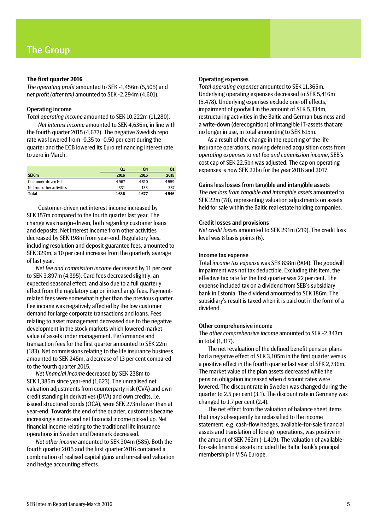#### **The first quarter 2016**

*The operating profit* amounted to SEK -1,456m (5,505) and n*et profit (after tax)* amounted to SEK -2,294m (4,601).

#### Operating income

*Total operating income* amounted to SEK 10,222m (11,280).

*Net interest income* amounted to SEK 4,636m, in line with the fourth quarter 2015 (4,677). The negative Swedish repo rate was lowered from -0.35 to -0.50 per cent during the quarter and the ECB lowered its Euro refinancing interest rate to zero in March.

|                           | Q1     | Q4     | 01   |
|---------------------------|--------|--------|------|
| SEK <sub>m</sub>          | 2016   | 2015   | 2015 |
| Customer-driven NII       | 4967   | 4810   | 4559 |
| NII from other activities | $-331$ | $-133$ | 387  |
| Total                     | 4636   | 4677   | 4946 |

Customer-driven net interest income increased by SEK 157m compared to the fourth quarter last year. The change was margin-driven, both regarding customer loans and deposits. Net interest income from other activities decreased by SEK 198m from year-end. Regulatory fees, including resolution and deposit guarantee fees, amounted to SEK 329m, a 10 per cent increase from the quarterly average of last year.

*Net fee and commission income* decreased by 11 per cent to SEK 3,897m (4,395). Card fees decreased slightly, an expected seasonal effect, and also due to a full quarterly effect from the regulatory cap on interchange fees. Paymentrelated fees were somewhat higher than the previous quarter. Fee income was negatively affected by the low customer demand for large corporate transactions and loans. Fees relating to asset management decreased due to the negative development in the stock markets which lowered market value of assets under management. Performance and transaction fees for the first quarter amounted to SEK 22m (183). Net commissions relating to the life insurance business amounted to SEK 245m, a decrease of 13 per cent compared to the fourth quarter 2015.

*Net financial income* decreased by SEK 238m to SEK 1,385m since year-end (1,623). The unrealised net valuation adjustments from counterparty risk (CVA) and own credit standing in derivatives (DVA) and own credits, i.e. issued structured bonds (OCA), were SEK 273m lower than at year-end. Towards the end of the quarter, customers became increasingly active and net financial income picked up. Net financial income relating to the traditional life insurance operations in Sweden and Denmark decreased.

*Net other income* amounted to SEK 304m (585). Both the fourth quarter 2015 and the first quarter 2016 contained a combination of realised capital gains and unrealised valuation and hedge accounting effects.

#### Operating expenses

*Total operating expenses* amounted to SEK 11,365m. Underlying operating expenses decreased to SEK 5,416m (5,478). Underlying expenses exclude one-off effects, impairment of goodwill in the amount of SEK 5,334m, restructuring activities in the Baltic and German business and a write-down (derecognition) of intangible IT-assets that are no longer in use, in total amounting to SEK 615m.

As a result of the change in the reporting of the life insurance operations, moving deferred acquisition costs from *operating expenses* to *net fee and commission income*, SEB's cost cap of SEK 22.5bn was adjusted. The cap on operating expenses is now SEK 22bn for the year 2016 and 2017.

#### Gains less losses from tangible and intangible assets

*The net loss from tangible and intangible assets* amounted to SEK 22m (78), representing valuation adjustments on assets held for sale within the Baltic real estate holding companies.

#### Credit losses and provisions

*Net credit losses* amounted to SEK 291m (219). The credit loss level was 8 basis points (6).

#### Income tax expense

Total *income tax expense* was SEK 838m (904). The goodwill impairment was not tax deductible. Excluding this item, the effective tax rate for the first quarter was 22 per cent. The expense included tax on a dividend from SEB's subsidiary bank in Estonia. The dividend amounted to SEK 186m. The subsidiary's result is taxed when it is paid out in the form of a dividend.

#### Other comprehensive income

The *other comprehensive income* amounted to SEK -2,343m in total (1,317).

The net revaluation of the defined benefit pension plans had a negative effect of SEK 3,105m in the first quarter versus a positive effect in the fourth quarter last year of SEK 2,736m. The market value of the plan assets decreased while the pension obligation increased when discount rates were lowered. The discount rate in Sweden was changed during the quarter to 2.5 per cent (3.1). The discount rate in Germany was changed to 1.7 per cent (2.4).

The net effect from the valuation of balance sheet items that may subsequently be reclassified to the income statement, e.g. cash-flow hedges, available-for-sale financial assets and translation of foreign operations, was positive in the amount of SEK 762m (-1,419). The valuation of availablefor-sale financial assets included the Baltic bank's principal membership in VISA Europe.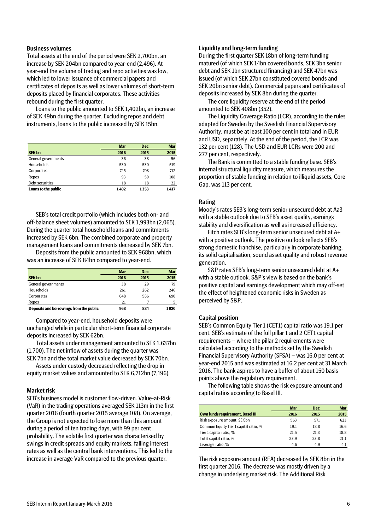#### Business volumes

Total assets at the end of the period were SEK 2,700bn, an increase by SEK 204bn compared to year-end (2,496). At year-end the volume of trading and repo activities was low, which led to lower issuance of commercial papers and certificates of deposits as well as lower volumes of short-term deposits placed by financial corporates. These activities rebound during the first quarter.

Loans to the public amounted to SEK 1,402bn, an increase of SEK 49bn during the quarter. Excluding repos and debt instruments, loans to the public increased by SEK 15bn.

|                     | <b>Mar</b> | <b>Dec</b> | <b>Mar</b> |
|---------------------|------------|------------|------------|
| <b>SEK bn</b>       | 2016       | 2015       | 2015       |
| General governments | 36         | 38         | 56         |
| Households          | 530        | 530        | 519        |
| Corporates          | 725        | 708        | 712        |
| Repos               | 93         | 59         | 108        |
| Debt securities     | 18         | 18         | 22         |
| Loans to the public | 1402       | 1353       | 1417       |

SEB's total credit portfolio (which includes both on- and off-balance sheet volumes) amounted to SEK 1,993bn (2,065). During the quarter total household loans and commitments increased by SEK 6bn. The combined corporate and property management loans and commitments decreased by SEK 7bn.

Deposits from the public amounted to SEK 968bn, which was an increase of SEK 84bn compared to year-end.

|                                         | <b>Mar</b> | <b>Dec</b> | <b>Mar</b> |
|-----------------------------------------|------------|------------|------------|
| <b>SEK bn</b>                           | 2016       | 2015       | 2015       |
| General governments                     | 38         | 29         | 79         |
| Households                              | 261        | 262        | 246        |
| Corporates                              | 648        | 586        | 690        |
| Repos                                   | 21         |            | 5          |
| Deposits and borrowings from the public | 968        | 884        | 1020       |

Compared to year-end, household deposits were unchanged while in particular short-term financial corporate deposits increased by SEK 62bn.

Total assets under management amounted to SEK 1,637bn (1,700). The net inflow of assets during the quarter was SEK 7bn and the total market value decreased by SEK 70bn.

Assets under custody decreased reflecting the drop in equity market values and amounted to SEK 6,712bn (7,196).

#### Market risk

SEB's business model is customer flow-driven. Value-at-Risk (VaR) in the trading operations averaged SEK 113m in the first quarter 2016 (fourth quarter 2015 average 108). On average, the Group is not expected to lose more than this amount during a period of ten trading days, with 99 per cent probability. The volatile first quarter was characterised by swings in credit spreads and equity markets, falling interest rates as well as the central bank interventions. This led to the increase in average VaR compared to the previous quarter.

### Liquidity and long-term funding

During the first quarter SEK 18bn of long-term funding matured (of which SEK 14bn covered bonds, SEK 3bn senior debt and SEK 1bn structured financing) and SEK 47bn was issued (of which SEK 27bn constituted covered bonds and SEK 20bn senior debt). Commercial papers and certificates of deposits increased by SEK 8bn during the quarter.

The core liquidity reserve at the end of the period amounted to SEK 408bn (352).

The Liquidity Coverage Ratio (LCR), according to the rules adapted for Sweden by the Swedish Financial Supervisory Authority, must be at least 100 per cent in total and in EUR and USD, separately. At the end of the period, the LCR was 132 per cent (128). The USD and EUR LCRs were 200 and 277 per cent, respectively.

The Bank is committed to a stable funding base. SEB's internal structural liquidity measure, which measures the proportion of stable funding in relation to illiquid assets, Core Gap, was 113 per cent.

#### Rating

Moody's rates SEB's long-term senior unsecured debt at Aa3 with a stable outlook due to SEB's asset quality, earnings stability and diversification as well as increased efficiency.

Fitch rates SEB's long-term senior unsecured debt at A+ with a positive outlook. The positive outlook reflects SEB's strong domestic franchise, particularly in corporate banking, its solid capitalisation, sound asset quality and robust revenue generation.

S&P rates SEB's long-term senior unsecured debt at A+ with a stable outlook. S&P's view is based on the bank's positive capital and earnings development which may off-set the effect of heightened economic risks in Sweden as perceived by S&P.

#### Capital position

SEB's Common Equity Tier 1 (CET1) capital ratio was 19.1 per cent. SEB's estimate of the full pillar 1 and 2 CET1 capital requirements – where the pillar 2 requirements were calculated according to the methods set by the Swedish Financial Supervisory Authority (SFSA) – was 16.0 per cent at year-end 2015 and was estimated at 16.2 per cent at 31 March 2016. The bank aspires to have a buffer of about 150 basis points above the regulatory requirement.

The following table shows the risk exposure amount and capital ratios according to Basel III.

|                                         | <b>Mar</b> | <b>Dec</b> | <b>Mar</b> |
|-----------------------------------------|------------|------------|------------|
| <b>Own funds requirement, Basel III</b> | 2016       | 2015       | 2015       |
| Risk exposure amount, SEK bn            | 563        | 571        | 623        |
| Common Equity Tier 1 capital ratio, %   | 19.1       | 18.8       | 16.6       |
| Tier 1 capital ratio, %                 | 21.5       | 21.3       | 18.8       |
| Total capital ratio, %                  | 23.9       | 23.8       | 21.1       |
| Leverage ratio, %                       | 4.6        | 4.9        | 4.1        |

The risk exposure amount (REA) decreased by SEK 8bn in the first quarter 2016. The decrease was mostly driven by a change in underlying market risk. The Additional Risk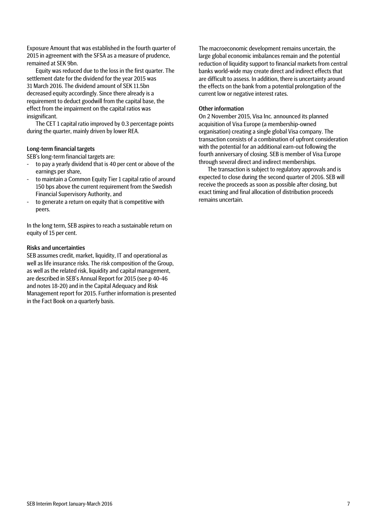Exposure Amount that was established in the fourth quarter of 2015 in agreement with the SFSA as a measure of prudence, remained at SEK 9bn.

Equity was reduced due to the loss in the first quarter. The settlement date for the dividend for the year 2015 was 31 March 2016. The dividend amount of SEK 11.5bn decreased equity accordingly. Since there already is a requirement to deduct goodwill from the capital base, the effect from the impairment on the capital ratios was insignificant.

The CET 1 capital ratio improved by 0.3 percentage points during the quarter, mainly driven by lower REA.

### Long-term financial targets

SEB's long-term financial targets are:

- to pay a yearly dividend that is 40 per cent or above of the earnings per share,
- to maintain a Common Equity Tier 1 capital ratio of around 150 bps above the current requirement from the Swedish Financial Supervisory Authority, and
- to generate a return on equity that is competitive with peers.

In the long term, SEB aspires to reach a sustainable return on equity of 15 per cent.

### Risks and uncertainties

SEB assumes credit, market, liquidity, IT and operational as well as life insurance risks. The risk composition of the Group, as well as the related risk, liquidity and capital management, are described in SEB's Annual Report for 2015 (see p 40-46 and notes 18-20) and in the Capital Adequacy and Risk Management report for 2015. Further information is presented in the Fact Book on a quarterly basis.

The macroeconomic development remains uncertain, the large global economic imbalances remain and the potential reduction of liquidity support to financial markets from central banks world-wide may create direct and indirect effects that are difficult to assess. In addition, there is uncertainty around the effects on the bank from a potential prolongation of the current low or negative interest rates.

#### Other information

On 2 November 2015, Visa Inc. announced its planned acquisition of Visa Europe (a membership-owned organisation) creating a single global Visa company. The transaction consists of a combination of upfront consideration with the potential for an additional earn-out following the fourth anniversary of closing. SEB is member of Visa Europe through several direct and indirect memberships.

The transaction is subject to regulatory approvals and is expected to close during the second quarter of 2016. SEB will receive the proceeds as soon as possible after closing, but exact timing and final allocation of distribution proceeds remains uncertain.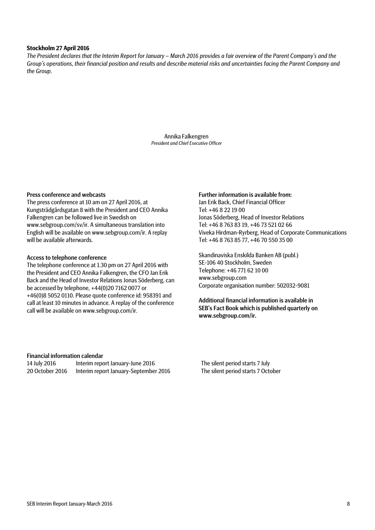#### **Stockholm 27 April 2016**

*The President declares that the Interim Report for January – March 2016 provides a fair overview of the Parent Company's and the Group's operations, their financial position and results and describe material risks and uncertainties facing the Parent Company and the Group.*

> Annika Falkengren *President and Chief Executive Officer*

#### Press conference and webcasts

The press conference at 10 am on 27 April 2016, at Kungsträdgårdsgatan 8 with the President and CEO Annika Falkengren can be followed live in Swedish on www.sebgroup.com/sv/ir. A simultaneous translation into English will be available on www.sebgroup.com/ir. A replay will be available afterwards.

#### Access to telephone conference

The telephone conference at 1.30 pm on 27 April 2016 with the President and CEO Annika Falkengren, the CFO Jan Erik Back and the Head of Investor Relations Jonas Söderberg, can be accessed by telephone, +44(0)20 7162 0077 or +46(0)8 5052 0110. Please quote conference id: 958391 and call at least 10 minutes in advance. A replay of the conference call will be available on www.sebgroup.com/ir.

#### Further information is available from:

Jan Erik Back, Chief Financial Officer Tel: +46 8 22 19 00 Jonas Söderberg, Head of Investor Relations Tel: +46 8 763 83 19, +46 73 521 02 66 Viveka Hirdman-Ryrberg, Head of Corporate Communications Tel: +46 8 763 85 77, +46 70 550 35 00

Skandinaviska Enskilda Banken AB (publ.) SE-106 40 Stockholm, Sweden Telephone: +46 771 62 10 00 www.sebgroup.com Corporate organisation number: 502032-9081

Additional financial information is available in SEB's Fact Book which is published quarterly on www.sebgroup.com/ir.

#### Financial information calendar

| 14 July 2016    | Interim report January-June 2016      |
|-----------------|---------------------------------------|
| 20 October 2016 | Interim report January-September 2016 |

The silent period starts 7 July eport January-September 2016 The silent period starts 7 October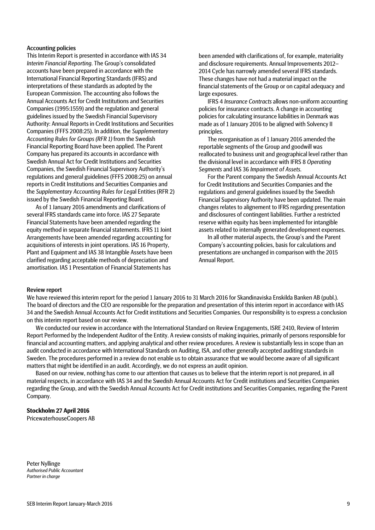#### Accounting policies

This Interim Report is presented in accordance with IAS 34 *Interim Financial Reporting*. The Group's consolidated accounts have been prepared in accordance with the International Financial Reporting Standards (IFRS) and interpretations of these standards as adopted by the European Commission. The accounting also follows the Annual Accounts Act for Credit Institutions and Securities Companies (1995:1559) and the regulation and general guidelines issued by the Swedish Financial Supervisory Authority: Annual Reports in Credit Institutions and Securities Companies (FFFS 2008:25). In addition, the *Supplementary Accounting Rules for Groups (RFR 1)* from the Swedish Financial Reporting Board have been applied. The Parent Company has prepared its accounts in accordance with Swedish Annual Act for Credit Institutions and Securities Companies, the Swedish Financial Supervisory Authority's regulations and general guidelines (FFFS 2008:25) on annual reports in Credit Institutions and Securities Companies and the *Supplementary Accounting Rules for Leg*al Entities (RFR 2) issued by the Swedish Financial Reporting Board.

As of 1 January 2016 amendments and clarifications of several IFRS standards came into force. IAS 27 Separate Financial Statements have been amended regarding the equity method in separate financial statements. IFRS 11 Joint Arrangements have been amended regarding accounting for acquisitions of interests in joint operations. IAS 16 Property, Plant and Equipment and IAS 38 Intangible Assets have been clarified regarding acceptable methods of depreciation and amortisation. IAS 1 Presentation of Financial Statements has

been amended with clarifications of, for example, materiality and disclosure requirements. Annual Improvements 2012– 2014 Cycle has narrowly amended several IFRS standards. These changes have not had a material impact on the financial statements of the Group or on capital adequacy and large exposures.

IFRS 4 *Insurance Contracts* allows non-uniform accounting policies for insurance contracts. A change in accounting policies for calculating insurance liabilities in Denmark was made as of 1 January 2016 to be aligned with Solvency II principles.

The reorganisation as of 1 January 2016 amended the reportable segments of the Group and goodwill was reallocated to business unit and geographical level rather than the divisional level in accordance with IFRS 8 *Operating Segments* and IAS 36 *Impairment of Assets*.

For the Parent company the Swedish Annual Accounts Act for Credit Institutions and Securities Companies and the regulations and general guidelines issued by the Swedish Financial Supervisory Authority have been updated. The main changes relates to alignement to IFRS regarding presentation and disclosures of contingent liabilities. Further a restricted reserve within equity has been implemented for intangible assets related to internally generated development expenses.

In all other material aspects, the Group's and the Parent Company's accounting policies, basis for calculations and presentations are unchanged in comparison with the 2015 Annual Report.

#### Review report

We have reviewed this interim report for the period 1 January 2016 to 31 March 2016 for Skandinaviska Enskilda Banken AB (publ.). The board of directors and the CEO are responsible for the preparation and presentation of this interim report in accordance with IAS 34 and the Swedish Annual Accounts Act for Credit institutions and Securities Companies. Our responsibility is to express a conclusion on this interim report based on our review.

We conducted our review in accordance with the International Standard on Review Engagements, ISRE 2410, Review of Interim Report Performed by the Independent Auditor of the Entity. A review consists of making inquiries, primarily of persons responsible for financial and accounting matters, and applying analytical and other review procedures. A review is substantially less in scope than an audit conducted in accordance with International Standards on Auditing, ISA, and other generally accepted auditing standards in Sweden. The procedures performed in a review do not enable us to obtain assurance that we would become aware of all significant matters that might be identified in an audit. Accordingly, we do not express an audit opinion.

Based on our review, nothing has come to our attention that causes us to believe that the interim report is not prepared, in all material respects, in accordance with IAS 34 and the Swedish Annual Accounts Act for Credit institutions and Securities Companies regarding the Group, and with the Swedish Annual Accounts Act for Credit institutions and Securities Companies, regarding the Parent Company.

#### **Stockholm 27 April 2016**

PricewaterhouseCoopers AB

Peter Nyllinge *Authorised Public Accountant Partner in charge*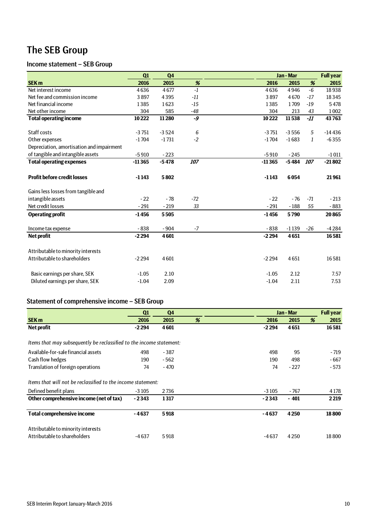# The SEB Group

# Income statement – SEB Group

|                                           | Q1       | Q <sub>4</sub> |       |          | Jan - Mar |       | <b>Full year</b> |
|-------------------------------------------|----------|----------------|-------|----------|-----------|-------|------------------|
| SEK <sub>m</sub>                          | 2016     | 2015           | $\%$  | 2016     | 2015      | %     | 2015             |
| Net interest income                       | 4636     | 4677           | $-1$  | 4636     | 4946      | $-6$  | 18938            |
| Net fee and commission income             | 3897     | 4395           | $-11$ | 3897     | 4670      | $-17$ | 18345            |
| Net financial income                      | 1385     | 1623           | $-15$ | 1385     | 1709      | $-19$ | 5478             |
| Net other income                          | 304      | 585            | $-48$ | 304      | 213       | 43    | 1002             |
| <b>Total operating income</b>             | 10222    | 11280          | -9    | 10222    | 11538     | $-II$ | 43763            |
|                                           |          |                |       |          |           |       |                  |
| Staff costs                               | $-3751$  | $-3524$        | 6     | $-3751$  | $-3556$   | 5     | $-14436$         |
| Other expenses                            | $-1704$  | $-1731$        | $-2$  | $-1704$  | $-1683$   | 1     | $-6355$          |
| Depreciation, amortisation and impairment |          |                |       |          |           |       |                  |
| of tangible and intangible assets         | $-5910$  | $-223$         |       | $-5910$  | $-245$    |       | $-1011$          |
| <b>Total operating expenses</b>           | $-11365$ | $-5478$        | 107   | $-11365$ | $-5484$   | 107   | $-21802$         |
|                                           |          |                |       |          |           |       |                  |
| <b>Profit before credit losses</b>        | $-1143$  | 5802           |       | $-1143$  | 6054      |       | 21961            |
|                                           |          |                |       |          |           |       |                  |
| Gains less losses from tangible and       |          |                |       |          |           |       |                  |
| intangible assets                         | $-22$    | $-78$          | $-72$ | $-22$    | $-76$     | $-71$ | $-213$           |
| Net credit losses                         | $-291$   | $-219$         | 33    | $-291$   | $-188$    | 55    | $-883$           |
| <b>Operating profit</b>                   | $-1456$  | 5505           |       | $-1456$  | 5790      |       | 20865            |
| Income tax expense                        | $-838$   | $-904$         | $-7$  | $-838$   | $-1139$   | $-26$ | $-4284$          |
|                                           | $-2294$  | 4601           |       | $-2294$  | 4651      |       |                  |
| <b>Net profit</b>                         |          |                |       |          |           |       | 16581            |
| Attributable to minority interests        |          |                |       |          |           |       |                  |
| Attributable to shareholders              | $-2294$  | 4601           |       | $-2294$  | 4651      |       | 16581            |
|                                           |          |                |       |          |           |       |                  |
| Basic earnings per share, SEK             | $-1.05$  | 2.10           |       | $-1.05$  | 2.12      |       | 7.57             |
| Diluted earnings per share, SEK           | $-1.04$  | 2.09           |       | $-1.04$  | 2.11      |       | 7.53             |
|                                           |          |                |       |          |           |       |                  |

# Statement of comprehensive income – SEB Group

|                                                                      | Q1      | Q <sub>4</sub> |   |         | Jan - Mar |   | <b>Full year</b> |
|----------------------------------------------------------------------|---------|----------------|---|---------|-----------|---|------------------|
| <b>SEK m</b>                                                         | 2016    | 2015           | % | 2016    | 2015      | % | 2015             |
| Net profit                                                           | -2 294  | 4601           |   | $-2294$ | 4651      |   | 16581            |
| Items that may subsequently be reclassified to the income statement: |         |                |   |         |           |   |                  |
| Available-for-sale financial assets                                  | 498     | $-387$         |   | 498     | 95        |   | - 719            |
| Cash flow hedges                                                     | 190     | - 562          |   | 190     | 498       |   | - 667            |
| Translation of foreign operations                                    | 74      | $-470$         |   | 74      | $-227$    |   | $-573$           |
| Items that will not be reclassified to the income statement:         |         |                |   |         |           |   |                  |
| Defined benefit plans                                                | $-3105$ | 2736           |   | $-3105$ | - 767     |   | 4 1 7 8          |
| Other comprehensive income (net of tax)                              | $-2343$ | 1317           |   | $-2343$ | $-401$    |   | 2219             |
| <b>Total comprehensive income</b>                                    | $-4637$ | 5918           |   | $-4637$ | 4250      |   | 18800            |
| Attributable to minority interests                                   |         |                |   |         |           |   |                  |
| Attributable to shareholders                                         | $-4637$ | 5918           |   | $-4637$ | 4250      |   | 18800            |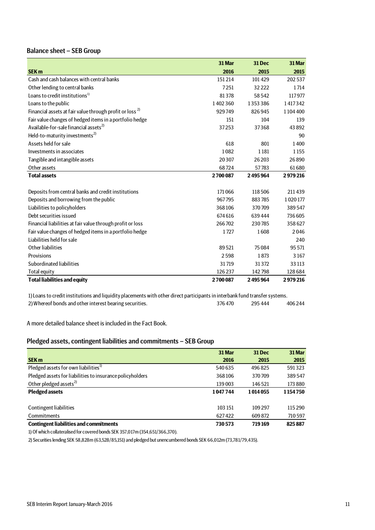# Balance sheet – SEB Group

|                                                                     | 31 Mar  | 31 Dec  | 31 Mar  |
|---------------------------------------------------------------------|---------|---------|---------|
| <b>SEK m</b>                                                        | 2016    | 2015    | 2015    |
| Cash and cash balances with central banks                           | 151 214 | 101429  | 202537  |
| Other lending to central banks                                      | 7251    | 32222   | 1714    |
| Loans to credit institutions <sup>1)</sup>                          | 81378   | 58542   | 117977  |
| Loans to the public                                                 | 1402360 | 1353386 | 1417342 |
| Financial assets at fair value through profit or loss <sup>2)</sup> | 929749  | 826945  | 1104400 |
| Fair value changes of hedged items in a portfolio hedge             | 151     | 104     | 139     |
| Available-for-sale financial assets <sup>2)</sup>                   | 37253   | 37368   | 43892   |
| Held-to-maturity investments <sup>2)</sup>                          |         |         | 90      |
| Assets held for sale                                                | 618     | 801     | 1400    |
| Investments in associates                                           | 1082    | 1181    | 1155    |
| Tangible and intangible assets                                      | 20307   | 26 203  | 26890   |
| Other assets                                                        | 68724   | 57783   | 61680   |
| <b>Total assets</b>                                                 | 2700087 | 2495964 | 2979216 |
|                                                                     |         |         |         |
| Deposits from central banks and credit institutions                 | 171066  | 118506  | 211439  |
| Deposits and borrowing from the public                              | 967795  | 883785  | 1020177 |
| Liabilities to policyholders                                        | 368106  | 370709  | 389547  |
| Debt securities issued                                              | 674 616 | 639444  | 736605  |
| Financial liabilities at fair value through profit or loss          | 266702  | 230785  | 358627  |
| Fair value changes of hedged items in a portfolio hedge             | 1727    | 1608    | 2046    |
| Liabilities held for sale                                           |         |         | 240     |
| Other liabilities                                                   | 89521   | 75084   | 95 5 71 |
| Provisions                                                          | 2598    | 1873    | 3167    |
| Subordinated liabilities                                            | 31719   | 31372   | 33 113  |
| <b>Total equity</b>                                                 | 126237  | 142798  | 128 684 |
| <b>Total liabilities and equity</b>                                 | 2700087 | 2495964 | 2979216 |

2) Whereof bonds and other interest bearing securities. 376 470 295 444 406 244 1) Loans to credit institutions and liquidity placements with other direct participants in interbank fund transfer systems.

A more detailed balance sheet is included in the Fact Book.

## Pledged assets, contingent liabilities and commitments – SEB Group

|                                                           | 31 Mar  | <b>31 Dec</b> | 31 Mar  |
|-----------------------------------------------------------|---------|---------------|---------|
| <b>SEK m</b>                                              | 2016    | 2015          | 2015    |
| Pledged assets for own liabilities <sup>1)</sup>          | 540 635 | 496825        | 591323  |
| Pledged assets for liabilities to insurance policyholders | 368106  | 370709        | 389547  |
| Other pledged assets <sup>2)</sup>                        | 139003  | 146521        | 173 880 |
| <b>Pledged assets</b>                                     | 1047744 | 1014055       | 1154750 |
|                                                           |         |               |         |
| <b>Contingent liabilities</b>                             | 103 151 | 109 297       | 115 290 |
| Commitments                                               | 627422  | 609872        | 710 597 |
| <b>Contingent liabilities and commitments</b>             | 730573  | 719169        | 825887  |

1) Of which collateralised for covered bonds SEK 357,017m (354,651/366,370).

2) Securities lending SEK 58,828m (63,528/85,151) and pledged but unencumbered bonds SEK 66,012m (73,781/79,435).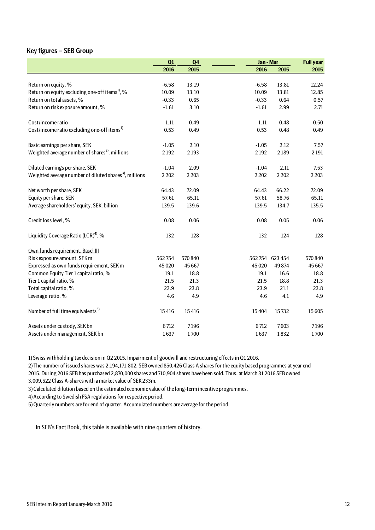### Key figures – SEB Group

|                                                                   | Q1      | Q <sub>4</sub> | Jan - Mar |                 | <b>Full year</b> |
|-------------------------------------------------------------------|---------|----------------|-----------|-----------------|------------------|
|                                                                   | 2016    | 2015           | 2016      | 2015            | 2015             |
|                                                                   |         |                |           |                 |                  |
| Return on equity, %                                               | $-6.58$ | 13.19          | $-6.58$   | 13.81           | 12.24            |
| Return on equity excluding one-off items <sup>1</sup> , %         | 10.09   | 13.10          | 10.09     | 13.81           | 12.85            |
| Return on total assets, %                                         | $-0.33$ | 0.65           | $-0.33$   | 0.64            | 0.57             |
| Return on risk exposure amount, %                                 | $-1.61$ | 3.10           | $-1.61$   | 2.99            | 2.71             |
| Cost/income ratio                                                 | 1.11    | 0.49           | 1.11      | 0.48            | 0.50             |
| Cost/income ratio excluding one-off items <sup>1)</sup>           | 0.53    | 0.49           | 0.53      | 0.48            | 0.49             |
| Basic earnings per share, SEK                                     | $-1.05$ | 2.10           | $-1.05$   | 2.12            | 7.57             |
| Weighted average number of shares <sup>2</sup> , millions         | 2192    | 2193           | 2192      | 2189            | 2 1 9 1          |
| Diluted earnings per share, SEK                                   | $-1.04$ | 2.09           | $-1.04$   | 2.11            | 7.53             |
| Weighted average number of diluted shares <sup>3</sup> , millions | 2 2 0 2 | 2 2 0 3        | 2202      | 2 2 0 2         | 2 2 0 3          |
| Net worth per share, SEK                                          | 64.43   | 72.09          | 64.43     | 66.22           | 72.09            |
| Equity per share, SEK                                             | 57.61   | 65.11          | 57.61     | 58.76           | 65.11            |
| Average shareholders' equity, SEK, billion                        | 139.5   | 139.6          | 139.5     | 134.7           | 135.5            |
| Credit loss level, %                                              | 0.08    | 0.06           | 0.08      | 0.05            | 0.06             |
| Liquidity Coverage Ratio (LCR) <sup>4)</sup> , %                  | 132     | 128            | 132       | 124             | 128              |
| Own funds requirement, Basel III                                  |         |                |           |                 |                  |
| Risk exposure amount, SEK m                                       | 562754  | 570 840        |           | 562 754 623 454 | 570 840          |
| Expressed as own funds requirement, SEK m                         | 45 0 20 | 45 667         | 45 0 20   | 49874           | 45 667           |
| Common Equity Tier 1 capital ratio, %                             | 19.1    | 18.8           | 19.1      | 16.6            | 18.8             |
| Tier 1 capital ratio, %                                           | 21.5    | 21.3           | 21.5      | 18.8            | 21.3             |
| Total capital ratio, %                                            | 23.9    | 23.8           | 23.9      | 21.1            | 23.8             |
| Leverage ratio, %                                                 | 4.6     | 4.9            | 4.6       | 4.1             | 4.9              |
| Number of full time equivalents <sup>5)</sup>                     | 15416   | 15416          | 15404     | 15732           | 15 605           |
| Assets under custody, SEK bn                                      | 6712    | 7196           | 6712      | 7603            | 7196             |
| Assets under management, SEK bn                                   | 1637    | 1700           | 1637      | 1832            | 1700             |

1) Swiss withholding tax decision in Q2 2015. Impairment of goodwill and restructuring effects in Q1 2016.

2) The number of issued shares was 2,194,171,802. SEB owned 850,426 Class A shares for the equity based programmes at year end 2015. During 2016 SEB has purchased 2,870,000 shares and 710,904 shares have been sold. Thus, at March 31 2016 SEB owned

3,009,522 Class A-shares with a market value of SEK 233m.

3) Calculated dilution based on the estimated economic value of the long-term incentive programmes.

4) According to Swedish FSA regulations for respective period.

5) Quarterly numbers are for end of quarter. Accumulated numbers are average for the period.

In SEB's Fact Book, this table is available with nine quarters of history.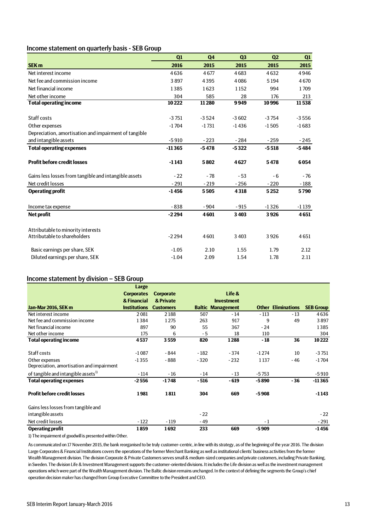## Income statement on quarterly basis - SEB Group

|                                                       | Q1       | Q <sub>4</sub> | Q3      | Q <sub>2</sub> | Q1      |
|-------------------------------------------------------|----------|----------------|---------|----------------|---------|
| <b>SEK m</b>                                          | 2016     | 2015           | 2015    | 2015           | 2015    |
| Net interest income                                   | 4636     | 4677           | 4683    | 4632           | 4946    |
| Net fee and commission income                         | 3897     | 4395           | 4086    | 5194           | 4670    |
| Net financial income                                  | 1385     | 1623           | 1152    | 994            | 1709    |
| Net other income                                      | 304      | 585            | 28      | 176            | 213     |
| <b>Total operating income</b>                         | 10222    | 11280          | 9949    | 10996          | 11538   |
| Staff costs                                           | $-3751$  | $-3524$        | $-3602$ | $-3754$        | $-3556$ |
| Other expenses                                        | $-1704$  | $-1731$        | $-1436$ | $-1505$        | $-1683$ |
| Depreciation, amortisation and impairment of tangible |          |                |         |                |         |
| and intangible assets                                 | $-5910$  | $-223$         | $-284$  | $-259$         | $-245$  |
| <b>Total operating expenses</b>                       | $-11365$ | $-5478$        | $-5322$ | $-5518$        | $-5484$ |
| <b>Profit before credit losses</b>                    | $-1143$  | 5802           | 4627    | 5478           | 6054    |
| Gains less losses from tangible and intangible assets | $-22$    | $-78$          | $-53$   | $-6$           | $-76$   |
| Net credit losses                                     | $-291$   | $-219$         | $-256$  | $-220$         | $-188$  |
| <b>Operating profit</b>                               | $-1456$  | 5505           | 4318    | 5252           | 5790    |
| Income tax expense                                    | $-838$   | $-904$         | $-915$  | $-1326$        | $-1139$ |
| <b>Net profit</b>                                     | $-2294$  | 4601           | 3403    | 3926           | 4651    |
| Attributable to minority interests                    |          |                |         |                |         |
| Attributable to shareholders                          | $-2294$  | 4601           | 3 4 0 3 | 3926           | 4651    |
| Basic earnings per share, SEK                         | $-1.05$  | 2.10           | 1.55    | 1.79           | 2.12    |
| Diluted earnings per share, SEK                       | $-1.04$  | 2.09           | 1.54    | 1.78           | 2.11    |

#### Income statement by division – SEB Group

|                                                 | Large               |                  |        |                          |         |                           |                  |
|-------------------------------------------------|---------------------|------------------|--------|--------------------------|---------|---------------------------|------------------|
|                                                 | <b>Corporates</b>   | <b>Corporate</b> |        | Life &                   |         |                           |                  |
|                                                 | & Financial         | & Private        |        | <b>Investment</b>        |         |                           |                  |
| Jan-Mar 2016, SEK m                             | <b>Institutions</b> | <b>Customers</b> |        | <b>Baltic Management</b> |         | <b>Other Eliminations</b> | <b>SEB Group</b> |
| Net interest income                             | 2081                | 2188             | 507    | $-14$                    | $-113$  | $-13$                     | 4636             |
| Net fee and commission income                   | 1384                | 1275             | 263    | 917                      | 9       | 49                        | 3897             |
| Net financial income                            | 897                 | 90               | 55     | 367                      | $-24$   |                           | 1385             |
| Net other income                                | 175                 | 6                | $-5$   | 18                       | 110     |                           | 304              |
| <b>Total operating income</b>                   | 4537                | 3559             | 820    | 1288                     | $-18$   | 36                        | 10222            |
|                                                 |                     |                  |        |                          |         |                           |                  |
| Staff costs                                     | $-1087$             | - 844            | $-182$ | $-374$                   | $-1274$ | 10                        | $-3751$          |
| Other expenses                                  | $-1355$             | $-888$           | $-320$ | $-232$                   | 1137    | $-46$                     | $-1704$          |
| Depreciation, amortisation and impairment       |                     |                  |        |                          |         |                           |                  |
| of tangible and intangible assets <sup>1)</sup> | $-114$              | $-16$            | $-14$  | $-13$                    | $-5753$ |                           | $-5910$          |
| <b>Total operating expenses</b>                 | $-2556$             | $-1748$          | $-516$ | $-619$                   | $-5890$ | $-36$                     | $-11365$         |
| <b>Profit before credit losses</b>              | 1981                | 1811             | 304    | 669                      | $-5908$ |                           | $-1143$          |
| Gains less losses from tangible and             |                     |                  |        |                          |         |                           |                  |
| intangible assets                               |                     |                  | $-22$  |                          |         |                           | $-22$            |
| Net credit losses                               | $-122$              | $-119$           | $-49$  |                          | $-1$    |                           | $-291$           |
| <b>Operating profit</b>                         | 1859                | 1692             | 233    | 669                      | $-5909$ |                           | $-1456$          |

1) The impairment of goodwill is presented within Other.

As communicated on 17 November 2015, the bank reorganised to be truly customer-centric, in line with its strategy, as of the beginning of the year 2016. The division Large Corporates & Financial Institutions covers the operations of the former Merchant Banking as well as institutional clients' business activities from the former Wealth Management division. The division Corporate & Private Customers serves small & medium-sized companies and private customers, including Private Banking, in Sweden. The division Life & Investment Management supports the customer-oriented divisions. It includes the Life division as well as the investment management operations which were part of the Wealth Management division. The Baltic division remains unchanged. In the context of defining the segments the Group's chief operation decision maker has changed from Group Executive Committee to the President and CEO.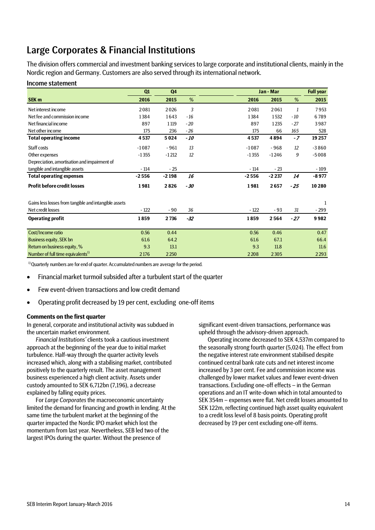# Large Corporates & Financial Institutions

The division offers commercial and investment banking services to large corporate and institutional clients, mainly in the Nordic region and Germany. Customers are also served through its international network.

#### Income statement

|                                                       | Q1      | Q <sub>4</sub> |       |         | Jan - Mar |       | <b>Full year</b> |
|-------------------------------------------------------|---------|----------------|-------|---------|-----------|-------|------------------|
| <b>SEK m</b>                                          | 2016    | 2015           | %     | 2016    | 2015      | %     | 2015             |
| Net interest income                                   | 2081    | 2026           | 3     | 2081    | 2061      | 1     | 7953             |
| Net fee and commission income                         | 1384    | 1643           | $-16$ | 1384    | 1532      | $-10$ | 6789             |
| Net financial income                                  | 897     | 1 1 1 9        | $-20$ | 897     | 1235      | $-27$ | 3987             |
| Net other income                                      | 175     | 236            | $-26$ | 175     | 66        | 165   | 528              |
| <b>Total operating income</b>                         | 4537    | 5024           | - 10  | 4537    | 4894      | $-7$  | 19 25 7          |
| Staff costs                                           | $-1087$ | $-961$         | 13    | $-1087$ | $-968$    | 12    | $-3860$          |
| Other expenses                                        | $-1355$ | $-1212$        | 12    | $-1355$ | $-1246$   | 9     | $-5008$          |
| Depreciation, amortisation and impairment of          |         |                |       |         |           |       |                  |
| tangible and intangible assets                        | $-114$  | $-25$          |       | $-114$  | $-23$     |       | $-109$           |
| <b>Total operating expenses</b>                       | $-2556$ | $-2198$        | 16    | $-2556$ | $-2237$   | 14    | $-8977$          |
| <b>Profit before credit losses</b>                    | 1981    | 2826           | $-30$ | 1981    | 2657      | $-25$ | 10280            |
| Gains less losses from tangible and intangible assets |         |                |       |         |           |       | 1                |
| Net credit losses                                     | $-122$  | $-90$          | 36    | $-122$  | $-93$     | 31    | - 299            |
| <b>Operating profit</b>                               | 1859    | 2736           | $-32$ | 1859    | 2564      | $-27$ | 9982             |
|                                                       |         |                |       |         |           |       |                  |
| Cost/Income ratio                                     | 0.56    | 0.44           |       | 0.56    | 0.46      |       | 0.47             |
| <b>Business equity, SEK bn</b>                        | 61.6    | 64.2           |       | 61.6    | 67.1      |       | 66.4             |
| Return on business equity, %                          | 9.3     | 13.1           |       | 9.3     | 11.8      |       | 11.6             |
| Number of full time equivalents <sup>1)</sup>         | 2176    | 2250           |       | 2208    | 2305      |       | 2293             |

<sup>1)</sup> Quarterly numbers are for end of quarter. Accumulated numbers are average for the period.

- Financial market turmoil subsided after a turbulent start of the quarter
- Few event-driven transactions and low credit demand
- Operating profit decreased by 19 per cent, excluding one-off items

#### **Comments on the first quarter**

In general, corporate and institutional activity was subdued in the uncertain market environment.

*Financial Institutions'* clients took a cautious investment approach at the beginning of the year due to initial market turbulence. Half-way through the quarter activity levels increased which, along with a stabilising market, contributed positively to the quarterly result. The asset management business experienced a high client activity. Assets under custody amounted to SEK 6,712bn (7,196), a decrease explained by falling equity prices.

For *Large Corporates* the macroeconomic uncertainty limited the demand for financing and growth in lending. At the same time the turbulent market at the beginning of the quarter impacted the Nordic IPO market which lost the momentum from last year. Nevertheless, SEB led two of the largest IPOs during the quarter. Without the presence of

significant event-driven transactions, performance was upheld through the advisory-driven approach.

Operating income decreased to SEK 4,537m compared to the seasonally strong fourth quarter (5,024). The effect from the negative interest rate environment stabilised despite continued central bank rate cuts and net interest income increased by 3 per cent. Fee and commission income was challenged by lower market values and fewer event-driven transactions. Excluding one-off effects – in the German operations and an IT write-down which in total amounted to SEK 354m – expenses were flat. Net credit losses amounted to SEK 122m, reflecting continued high asset quality equivalent to a credit loss level of 8 basis points. Operating profit decreased by 19 per cent excluding one-off items.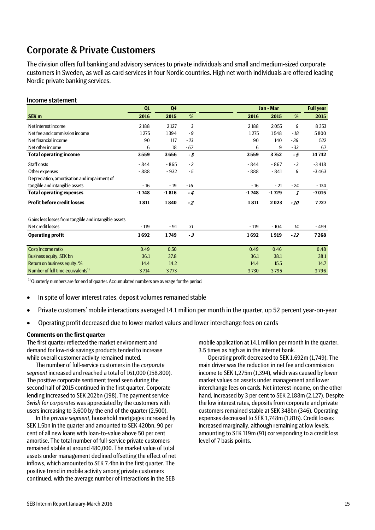# Corporate & Private Customers

The division offers full banking and advisory services to private individuals and small and medium-sized corporate customers in Sweden, as well as card servicesin four Nordic countries. High net worth individuals are offered leading Nordic private banking services.

### Income statement

|                                                       | Q1      | Q <sub>4</sub> |       |         | Jan - Mar |       | <b>Full year</b> |
|-------------------------------------------------------|---------|----------------|-------|---------|-----------|-------|------------------|
| SEK <sub>m</sub>                                      | 2016    | 2015           | %     | 2016    | 2015      | %     | 2015             |
| Net interest income                                   | 2188    | 2 1 2 7        | 3     | 2188    | 2055      | 6     | 8 3 5 3          |
| Net fee and commission income                         | 1275    | 1394           | $-9$  | 1275    | 1548      | $-18$ | 5800             |
| Net financial income                                  | 90      | 117            | $-23$ | 90      | 140       | $-36$ | 522              |
| Net other income                                      | 6       | 18             | $-67$ | 6       | 9         | $-33$ | 67               |
| <b>Total operating income</b>                         | 3559    | 3656           | $-3$  | 3559    | 3752      | - 5   | 14742            |
| Staff costs                                           | $-844$  | $-865$         | $-2$  | $-844$  | $-867$    | $-3$  | $-3418$          |
| Other expenses                                        | - 888   | $-932$         | $-5$  | $-888$  | $-841$    | 6     | $-3463$          |
| Depreciation, amortisation and impairment of          |         |                |       |         |           |       |                  |
| tangible and intangible assets                        | $-16$   | $-19$          | $-16$ | $-16$   | $-21$     | $-24$ | - 134            |
| <b>Total operating expenses</b>                       | $-1748$ | $-1816$        | $-4$  | $-1748$ | $-1729$   | 1     | $-7015$          |
| <b>Profit before credit losses</b>                    | 1811    | 1840           | $-2$  | 1811    | 2023      | - 10  | 7727             |
| Gains less losses from tangible and intangible assets |         |                |       |         |           |       |                  |
| Net credit losses                                     | $-119$  | - 91           | 31    | $-119$  | $-104$    | 14    | - 459            |
| <b>Operating profit</b>                               | 1692    | 1749           | $-3$  | 1692    | 1919      | $-12$ | 7268             |
| Cost/Income ratio                                     | 0.49    | 0.50           |       | 0.49    | 0.46      |       | 0.48             |
| Business equity, SEK bn                               | 36.1    | 37.8           |       | 36.1    | 38.1      |       | 38.1             |
| Return on business equity, %                          | 14.4    | 14.2           |       | 14.4    | 15.5      |       | 14.7             |
| Number of full time equivalents <sup>1)</sup>         | 3714    | 3773           |       | 3730    | 3795      |       | 3796             |

 $1)$  Quarterly numbers are for end of quarter. Accumulated numbers are average for the period.

- In spite of lower interest rates, deposit volumes remained stable
- Private customers' mobile interactions averaged 14.1 million per month in the quarter, up 52 percent year-on-year
- Operating profit decreased due to lower market values and lower interchange fees on cards

#### **Comments on the first quarter**

The first quarter reflected the market environment and demand for low-risk savings products tended to increase while overall customer activity remained muted.

The number of full-service customers in the *corporate segment* increased and reached a total of 161,000 (158,800). The positive corporate sentiment trend seen during the second half of 2015 continued in the first quarter. Corporate lending increased to SEK 202bn (198). The payment service *Swish for corporates* was appreciated by the customers with users increasing to 3,600 by the end of the quarter (2,500).

In the *private segment*, household mortgages increased by SEK 1.5bn in the quarter and amounted to SEK 420bn. 90 per cent of all new loans with loan-to-value above 50 per cent amortise. The total number of full-service private customers remained stable at around 480,000. The market value of total assets under management declined offsetting the effect of net inflows, which amounted to SEK 7.4bn in the first quarter. The positive trend in mobile activity among private customers continued, with the average number of interactions in the SEB

mobile application at 14.1 million per month in the quarter, 3.5 times as high as in the internet bank.

Operating profit decreased to SEK 1,692m (1,749). The main driver was the reduction in net fee and commission income to SEK 1,275m (1,394), which was caused by lower market values on assets under management and lower interchange fees on cards. Net interest income, on the other hand, increased by 3 per cent to SEK 2,188m (2,127). Despite the low interest rates, deposits from corporate and private customers remained stable at SEK 348bn (346). Operating expenses decreased to SEK 1,748m (1,816). Credit losses increased marginally, although remaining at low levels, amounting to SEK 119m (91) corresponding to a credit loss level of 7 basis points.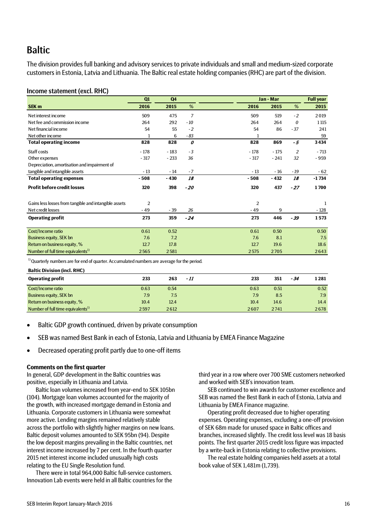# **Baltic**

The division provides full banking and advisory services to private individuals and small and medium-sized corporate customers in Estonia, Latvia and Lithuania. The Baltic real estate holding companies (RHC) are part of the division.

### Income statement (excl. RHC)

|                                                       | Q1             | Q <sub>4</sub> |       |        | Jan - Mar      |             | <b>Full year</b> |
|-------------------------------------------------------|----------------|----------------|-------|--------|----------------|-------------|------------------|
| <b>SEK m</b>                                          | 2016           | 2015           | %     | 2016   | 2015           | %           | 2015             |
| Net interest income                                   | 509            | 475            | 7     |        | 509<br>519     | $-2$        | 2019             |
| Net fee and commission income                         | 264            | 292            | $-10$ |        | 264<br>264     | 0           | 1 1 1 5          |
| Net financial income                                  | 54             | 55             | $-2$  |        | 54             | 86<br>$-37$ | 241              |
| Net other income                                      | 1              | 6              | - 83  |        | 1              |             | 59               |
| <b>Total operating income</b>                         | 828            | 828            | 0     |        | 828<br>869     | - 5         | 3434             |
| Staff costs                                           | $-178$         | $-183$         | $-3$  | $-178$ | $-175$         | 2           | $-713$           |
| Other expenses                                        | $-317$         | $-233$         | 36    | $-317$ | $-241$         | 32          | - 959            |
| Depreciation, amortisation and impairment of          |                |                |       |        |                |             |                  |
| tangible and intangible assets                        | $-13$          | $-14$          | $-7$  |        | $-13$<br>$-16$ | $-19$       | $-62$            |
| <b>Total operating expenses</b>                       | $-508$         | $-430$         | 18    | $-508$ | $-432$         | 18          | $-1734$          |
| <b>Profit before credit losses</b>                    | 320            | 398            | - 20  |        | 320<br>437     | $-27$       | 1700             |
| Gains less losses from tangible and intangible assets | $\overline{2}$ |                |       |        | $\overline{2}$ |             | 1                |
| Net credit losses                                     | $-49$          | $-39$          | 26    |        | $-49$          | 9           | - 128            |
| <b>Operating profit</b>                               | 273            | 359            | $-24$ |        | 273<br>446     | $-39$       | 1573             |
| Cost/Income ratio                                     | 0.61           | 0.52           |       |        | 0.61<br>0.50   |             | 0.50             |
| <b>Business equity, SEK bn</b>                        | 7.6            | 7.2            |       |        | 7.6            | 8.1         | 7.5              |
| Return on business equity, %                          | 12.7           | 17.8           |       |        | 12.7<br>19.6   |             | 18.6             |
| Number of full time equivalents <sup>1)</sup>         | 2565           | 2581           |       | 2575   | 2705           |             | 2643             |

<sup>1)</sup> Quarterly numbers are for end of quarter. Accumulated numbers are average for the period.

**Baltic Division (incl. RHC)**

| <b>Operating profit</b>                       | 233  | 263  | - 11 | 233  | 351  | - 34 | 1 2 8 1 |
|-----------------------------------------------|------|------|------|------|------|------|---------|
| Cost/Income ratio                             | 0.63 | 0.54 |      | 0.63 | 0.51 |      | 0.52    |
| <b>Business equity, SEK bn</b>                | 7.9  | 7.5  |      | 7.9  | 8.5  |      | 7.9     |
| Return on business equity, %                  | 10.4 | 12.4 |      | 10.4 | 14.6 |      | 14.4    |
| Number of full time equivalents <sup>1)</sup> | 2597 | 2612 |      | 2607 | 2741 |      | 2678    |

- Baltic GDP growth continued, driven by private consumption
- SEB was named Best Bank in each of Estonia, Latvia and Lithuania by EMEA Finance Magazine
- Decreased operating profit partly due to one-off items

#### **Comments on the first quarter**

In general, GDP development in the Baltic countries was positive, especially in Lithuania and Latvia.

Baltic loan volumes increased from year-end to SEK 105bn (104). Mortgage loan volumes accounted for the majority of the growth, with increased mortgage demand in Estonia and Lithuania. Corporate customers in Lithuania were somewhat more active. Lending margins remained relatively stable across the portfolio with slightly higher margins on new loans. Baltic deposit volumes amounted to SEK 95bn (94). Despite the low deposit margins prevailing in the Baltic countries, net interest income increased by 7 per cent. In the fourth quarter 2015 net interest income included unusually high costs relating to the EU Single Resolution fund.

There were in total 964,000 Baltic full-service customers. Innovation Lab events were held in all Baltic countries for the third year in a row where over 700 SME customers networked and worked with SEB's innovation team.

SEB continued to win awards for customer excellence and SEB was named the Best Bank in each of Estonia, Latvia and Lithuania by EMEA Finance magazine.

Operating profit decreased due to higher operating expenses. Operating expenses, excluding a one-off provision of SEK 68m made for unused space in Baltic offices and branches, increased slightly. The credit loss level was 18 basis points. The first quarter 2015 credit loss figure was impacted by a write-back in Estonia relating to collective provisions.

The real estate holding companies held assets at a total book value of SEK 1,481m (1,739).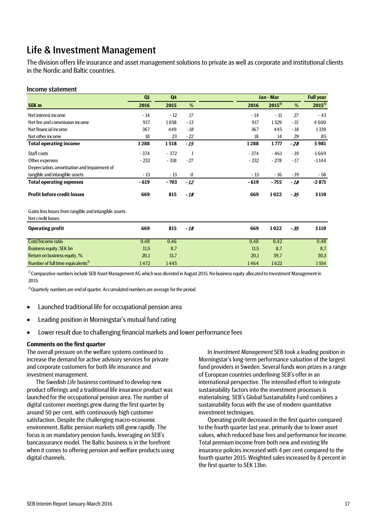# Life & Investment Management

The division offers life insurance and asset management solutions to private as well as corporate and institutional clients in the Nordic and Baltic countries.

#### Income statement

|                                                                            | Q1     | Q <sub>4</sub> |       | Jan - Mar | <b>Full year</b> |       |            |
|----------------------------------------------------------------------------|--------|----------------|-------|-----------|------------------|-------|------------|
| SEK <sub>m</sub>                                                           | 2016   | 2015           | %     | 2016      | $2015^{1}$       | %     | $2015^{1}$ |
| Net interest income                                                        | $-14$  | $-12$          | 17    | $-14$     | $-11$            | 27    | $-43$      |
| Net fee and commission income                                              | 917    | 1058           | $-13$ | 917       | 1329             | $-31$ | 4600       |
| Net financial income                                                       | 367    | 449            | $-18$ | 367       | 445              | - 18  | 1339       |
| Net other income                                                           | 18     | 23             | $-22$ | 18        | 14               | 29    | 85         |
| <b>Total operating income</b>                                              | 1288   | 1518           | $-15$ | 1288      | 1777             | $-28$ | 5981       |
| Staff costs                                                                | $-374$ | $-372$         | 1     | $-374$    | $-461$           | $-19$ | $-1669$    |
| Other expenses                                                             | $-232$ | $-318$         | $-27$ | $-232$    | $-278$           | $-17$ | $-1144$    |
| Depreciation, amortisation and impairment of                               |        |                |       |           |                  |       |            |
| tangible and intangible assets                                             | $-13$  | $-13$          | 0     | $-13$     | $-16$            | $-19$ | - 58       |
| <b>Total operating expenses</b>                                            | $-619$ | $-703$         | $-12$ | $-619$    | $-755$           | - 18  | $-2871$    |
| <b>Profit before credit losses</b>                                         | 669    | 815            | $-18$ | 669       | 1022             | - 35  | 3110       |
| Gains less losses from tangible and intangible assets<br>Net credit losses |        |                |       |           |                  |       |            |
| <b>Operating profit</b>                                                    | 669    | 815            | $-18$ | 669       | 1022             | $-35$ | 3110       |
| Cost/Income ratio                                                          | 0,48   | 0,46           |       | 0,48      | 0,42             |       | 0,48       |
| Business equity, SEK bn                                                    | 11,5   | 8,7            |       | 11,5      | 8,7              |       | 8,7        |
| Return on business equity, %                                               | 20,1   | 31,7           |       | 20,1      | 39,7             |       | 30,3       |
| Number of full time equivalents <sup>2)</sup>                              | 1472   | 1445           |       | 1464      | 1622             |       | 1554       |

<sup>1)</sup> Comparative numbers include SEB Asset Management AG which was divested in August 2015. No business equity allocated to Investment Management in 2015.

 $2)$  Quarterly numbers are end of quarter. Accumulated numbers are average for the period.

- Launched traditional life for occupational pension area
- Leading position in Morningstar's mutual fund rating
- Lower result due to challenging financial markets and lower performance fees

#### **Comments on the first quarter**

The overall pressure on the welfare systems continued to increase the demand for active advisory services for private and corporate customers for both life insurance and investment management.

The Swedish *Life* business continued to develop new product offerings and a traditional life insurance product was launched for the occupational pension area. The number of digital customer meetings grew during the first quarter by around 50 per cent, with continuously high customer satisfaction. Despite the challenging macro-economic environment, Baltic pension markets still grew rapidly. The focus is on mandatory pension funds, leveraging on SEB's bancassurance model. The Baltic business is in the forefront when it comes to offering pension and welfare products using digital channels.

In *Investment Management* SEB took a leading position in Morningstar's long-term performance valuation of the largest fund providers in Sweden. Several funds won prizes in a range of European countries underlining SEB's offer in an international perspective. The intensified effort to integrate sustainability factors into the investment processes is materialising. SEB's Global Sustainability Fund combines a sustainability focus with the use of modern quantitative investment techniques.

Operating profit decreased in the first quarter compared to the fourth quarter last year, primarily due to lower asset values, which reduced base fees and performance fee income. Total premium income from both new and existing life insurance policies increased with 4 per cent compared to the fourth quarter 2015. Weighted sales increased by 8 percent in the first quarter to SEK 13bn.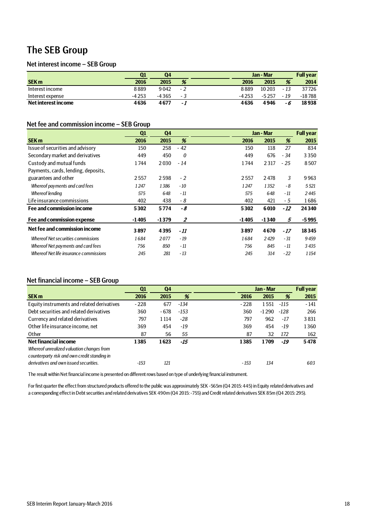# The SEB Group

## Net interest income – SEB Group

|                     | Q1      | Q4    |     |         | Jan - Mar |      | <b>Full year</b> |
|---------------------|---------|-------|-----|---------|-----------|------|------------------|
| <b>SEK m</b>        | 2016    | 2015  | %   | 2016    | 2015      | %    | 2014             |
| Interest income     | 8889    | 9042  | - 2 | 8889    | 10 20 3   | - 13 | 37726            |
| Interest expense    | $-4253$ | -4365 | - 3 | $-4253$ | $-5257$   | - 19 | -18788           |
| Net interest income | 4636    | 4677  | - 1 | 4636    | 4946      | - 6  | 18938            |

## Net fee and commission income – SEB Group

|                                           | Q1      | Q4      |                | Jan - Mar |         |       | <b>Full year</b> |
|-------------------------------------------|---------|---------|----------------|-----------|---------|-------|------------------|
| <b>SEK m</b>                              | 2016    | 2015    | %              | 2016      | 2015    | %     | 2015             |
| Issue of securities and advisory          | 150     | 258     | $-42$          | 150       | 118     | 27    | 834              |
| Secondary market and derivatives          | 449     | 450     | 0              | 449       | 676     | $-34$ | 3350             |
| Custody and mutual funds                  | 1744    | 2030    | $-14$          | 1744      | 2317    | $-25$ | 8507             |
| Payments, cards, lending, deposits,       |         |         |                |           |         |       |                  |
| guarantees and other                      | 2557    | 2598    | $-2$           | 2557      | 2478    | 3     | 9963             |
| Whereof payments and card fees            | 1247    | 1386    | $-10$          | 1247      | 1352    | - 8   | 5521             |
| <b>Whereof lending</b>                    | 575     | 648     | - 11           | 575       | 648     | - 11  | 2445             |
| Life insurance commissions                | 402     | 438     | - 8            | 402       | 421     | - 5   | 1686             |
| Fee and commission income                 | 5302    | 5774    | -8             | 5302      | 6010    | $-12$ | 24340            |
| Fee and commission expense                | $-1405$ | $-1379$ | $\overline{2}$ | $-1405$   | $-1340$ | 5     | $-5995$          |
| Net fee and commission income             | 3897    | 4395    | - 11           | 3897      | 4670    | - 17  | 18345            |
| <b>Whereof Net securities commissions</b> | 1684    | 2077    | $-19$          | 1684      | 2429    | $-31$ | 9459             |
| Whereof Net payments and card fees        | 756     | 850     | - 11           | 756       | 845     | - 11  | 3 4 3 5          |
| Whereof Net life insurance commissions    | 245     | 281     | $-13$          | 245       | 314     | $-22$ | 1 1 5 4          |

## Net financial income – SEB Group

|                                                                                        | Q1     | Q4      |        |        | Jan - Mar |        | <b>Full year</b> |
|----------------------------------------------------------------------------------------|--------|---------|--------|--------|-----------|--------|------------------|
| <b>SEK m</b>                                                                           | 2016   | 2015    | %      | 2016   | 2015      | %      | 2015             |
| Equity instruments and related derivatives                                             | $-228$ | 677     | -134   | $-228$ | 1551      | -115   | $-141$           |
| Debt securities and related derivatives                                                | 360    | $-678$  | $-153$ | 360    | $-1290$   | $-128$ | 266              |
| Currency and related derivatives                                                       | 797    | 1 1 1 4 | -28    | 797    | 962       | -17    | 3831             |
| Other life insurance income, net                                                       | 369    | 454     | -19    | 369    | 454       | -19    | 1360             |
| Other                                                                                  | 87     | 56      | 55     | 87     | 32        | 172    | 162              |
| <b>Net financial income</b><br>Whereof unrealized valuation changes from               | 1385   | 1623    | -15    | 1385   | 1709      | -19    | 5478             |
| counterparty risk and own credit standing in<br>derivatives and own issued securities. | -153   | 121     |        | - 153  | 134       |        | 603              |

The result within Net financial income is presented on different rows based on type of underlying financial instrument.

For first quarter the effect from structured products offered to the public was approximately SEK -565m (Q4 2015: 445) in Equity related derivatives and a corresponding effect in Debt securities and related derivatives SEK 490m (Q4 2015: -755) and Credit related derivatives SEK 85m (Q4 2015: 295).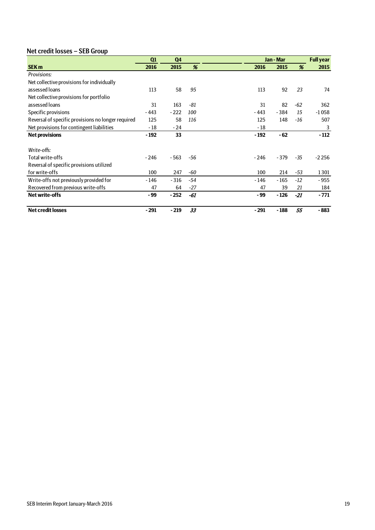# Net credit losses – SEB Group

|                                                    | Q1     | Q <sub>4</sub> |       |        | Jan - Mar |       | <b>Full year</b> |
|----------------------------------------------------|--------|----------------|-------|--------|-----------|-------|------------------|
| <b>SEK m</b>                                       | 2016   | 2015           | %     | 2016   | 2015      | %     | 2015             |
| Provisions:                                        |        |                |       |        |           |       |                  |
| Net collective provisions for individually         |        |                |       |        |           |       |                  |
| assessed loans                                     | 113    | 58             | 95    | 113    | 92        | 23    | 74               |
| Net collective provisions for portfolio            |        |                |       |        |           |       |                  |
| assessed loans                                     | 31     | 163            | $-81$ | 31     | 82        | $-62$ | 362              |
| Specific provisions                                | $-443$ | $-222$         | 100   | - 443  | $-384$    | 15    | $-1058$          |
| Reversal of specific provisions no longer required | 125    | 58             | 116   | 125    | 148       | $-16$ | 507              |
| Net provisions for contingent liabilities          | $-18$  | - 24           |       | $-18$  |           |       | 3                |
| <b>Net provisions</b>                              | $-192$ | 33             |       | $-192$ | $-62$     |       | $-112$           |
|                                                    |        |                |       |        |           |       |                  |
| Write-offs:                                        |        |                |       |        |           |       |                  |
| Total write-offs                                   | $-246$ | $-563$         | -56   | - 246  | $-379$    | $-35$ | $-2256$          |
| Reversal of specific provisions utilized           |        |                |       |        |           |       |                  |
| for write-offs                                     | 100    | 247            | -60   | 100    | 214       | $-53$ | 1301             |
| Write-offs not previously provided for             | $-146$ | $-316$         | -54   | - 146  | $-165$    | $-12$ | - 955            |
| Recovered from previous write-offs                 | 47     | 64             | $-27$ | 47     | 39        | 21    | 184              |
| <b>Net write-offs</b>                              | - 99   | $-252$         | $-61$ | - 99   | $-126$    | $-21$ | $-771$           |
| <b>Net credit losses</b>                           | $-291$ | $-219$         | 33    | $-291$ | - 188     | 55    | $-883$           |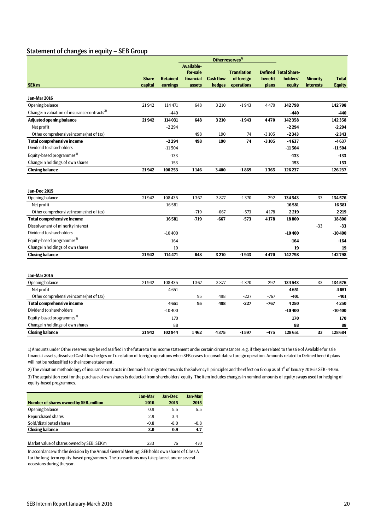## Statement of changes in equity – SEB Group

|                                                                              |              |                 |                   |                  | Other reserves <sup>1)</sup> |                |                             |                  |               |
|------------------------------------------------------------------------------|--------------|-----------------|-------------------|------------------|------------------------------|----------------|-----------------------------|------------------|---------------|
|                                                                              |              |                 | <b>Available-</b> |                  |                              |                |                             |                  |               |
|                                                                              |              |                 | for-sale          |                  | <b>Translation</b>           |                | <b>Defined Total Share-</b> |                  |               |
|                                                                              | <b>Share</b> | <b>Retained</b> | financial         | <b>Cash flow</b> | of foreign                   | <b>benefit</b> | holders'                    | <b>Minority</b>  | <b>Total</b>  |
| SEK <sub>m</sub>                                                             | capital      | earnings        | assets            | hedges           | operations                   | plans          | equity                      | <b>interests</b> | <b>Equity</b> |
| Jan-Mar 2016                                                                 |              |                 |                   |                  |                              |                |                             |                  |               |
| Opening balance                                                              | 21942        | 114 471         | 648               | 3210             | $-1943$                      | 4470           | 142798                      |                  | 142798        |
| Change in valuation of insurance contracts <sup>2)</sup>                     |              | $-440$          |                   |                  |                              |                | $-440$                      |                  | -440          |
| <b>Adjusted opening balance</b>                                              | 21942        | 114 031         | 648               | 3210             | $-1943$                      | 4470           | 142358                      |                  | 142358        |
| Net profit                                                                   |              | $-2294$         |                   |                  |                              |                | $-2294$                     |                  | $-2294$       |
| Other comprehensive income (net of tax)                                      |              |                 | 498               | 190              | 74                           | $-3105$        | $-2343$                     |                  | $-2343$       |
| <b>Total comprehensive income</b>                                            |              | $-2294$         | 498               | 190              | 74                           | $-3105$        | $-4637$                     |                  | $-4637$       |
| Dividend to shareholders                                                     |              | $-11504$        |                   |                  |                              |                | $-11504$                    |                  | $-11504$      |
| Equity-based programmes <sup>3)</sup>                                        |              | $-133$          |                   |                  |                              |                | $-133$                      |                  | $-133$        |
| Change in holdings of own shares                                             |              | 153             |                   |                  |                              |                | 153                         |                  | 153           |
| <b>Closing balance</b>                                                       | 21942        | 100253          | 1146              | 3400             | $-1869$                      | 1365           | 126237                      |                  | 126237        |
|                                                                              |              |                 |                   |                  |                              |                |                             |                  |               |
| Jan-Dec 2015                                                                 |              |                 |                   |                  |                              |                |                             |                  |               |
| Opening balance                                                              | 21942        | 108 435         | 1367              | 3877             | $-1370$                      | 292            | 134543                      | 33               | 134576        |
| Net profit                                                                   |              | 16581           |                   |                  |                              |                | 16581<br>2219               |                  | 16581         |
| Other comprehensive income (net of tax)<br><b>Total comprehensive income</b> |              | 16581           | $-719$<br>$-719$  | $-667$<br>$-667$ | $-573$<br>$-573$             | 4178<br>4178   | 18800                       |                  | 2219<br>18800 |
|                                                                              |              |                 |                   |                  |                              |                |                             | $-33$            | $-33$         |
| Dissolvement of minority interest<br>Dividend to shareholders                |              | $-10400$        |                   |                  |                              |                | $-10400$                    |                  | $-10400$      |
| Equity-based programmes <sup>3)</sup>                                        |              | $-164$          |                   |                  |                              |                | $-164$                      |                  | $-164$        |
| Change in holdings of own shares                                             |              | 19              |                   |                  |                              |                | 19                          |                  | 19            |
| <b>Closing balance</b>                                                       | 21942        | 114471          | 648               | 3210             | $-1943$                      | 4470           | 142798                      |                  | 142798        |
|                                                                              |              |                 |                   |                  |                              |                |                             |                  |               |
| Jan-Mar 2015                                                                 |              |                 |                   |                  |                              |                |                             |                  |               |
| Opening balance                                                              | 21942        | 108 435         | 1367              | 3877             | $-1370$                      | 292            | 134543                      | 33               | 134576        |
| Net profit                                                                   |              | 4651            |                   |                  |                              |                | 4651                        |                  | 4651          |
| Other comprehensive income (net of tax)                                      |              |                 | 95                | 498              | $-227$                       | $-767$         | $-401$                      |                  | $-401$        |
| <b>Total comprehensive income</b>                                            |              | 4651            | 95                | 498              | $-227$                       | $-767$         | 4250                        |                  | 4250          |
| Dividend to shareholders                                                     |              | $-10400$        |                   |                  |                              |                | $-10400$                    |                  | $-10400$      |
| Equity-based programmes <sup>3)</sup>                                        |              | 170             |                   |                  |                              |                | 170                         |                  | 170           |
| Change in holdings of own shares                                             |              | 88              |                   |                  |                              |                | 88                          |                  | 88            |
| <b>Closing balance</b>                                                       | 21942        | 102944          | 1462              | 4375             | $-1597$                      | $-475$         | 128651                      | 33               | 128684        |
|                                                                              |              |                 |                   |                  |                              |                |                             |                  |               |

1) Amounts under Other reserves may be reclassified in the future to the income statement under certain circumstances, e.g. if they are related to the sale of Available for sale financial assets, dissolved Cash flow hedges or Translation of foreign operations when SEB ceases to consolidate a foreign operation. Amounts related to Defined benefit plans will not be reclassified to the income statement.

2) The valuation methodology of insurance contracts in Denmark has migrated towards the Solvency II principles and the effect on Group as of 1<sup>st</sup> of January 2016 is SEK -440m. 3) The acquisition cost for the purchase of own shares is deducted from shareholders' equity. The item includes changes in nominal amounts of equity swaps used for hedging of

equity-based programmes.

|                                        | <b>Jan-Mar</b> | Jan-Dec | <b>Jan-Mar</b> |
|----------------------------------------|----------------|---------|----------------|
| Number of shares owned by SEB, million | 2016           | 2015    | 2015           |
| Opening balance                        | 0.9            | 5.5     | 5.5            |
| <b>Repurchased shares</b>              | 2.9            | 3.4     |                |
| Sold/distributed shares                | $-0.8$         | $-8.0$  | -0.8           |
| <b>Closing balance</b>                 | 3.0            | 0.9     | 4.7            |
|                                        |                |         |                |

Market value of shares owned by SEB, SEK m 233 76 470

In accordance with the decision by the Annual General Meeting, SEB holds own shares of Class A for the long-term equity-based programmes. The transactions may take place at one or several occasions during the year.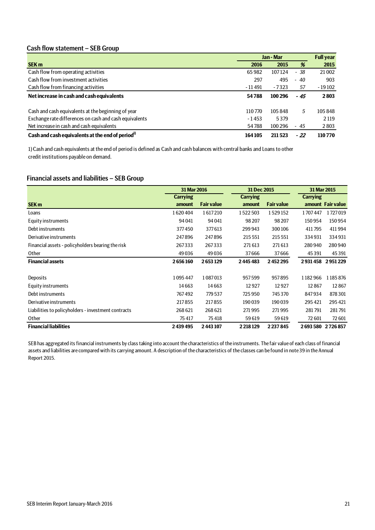## Cash flow statement – SEB Group

|                                                              | Jan - Mar |         |       | <b>Full year</b> |
|--------------------------------------------------------------|-----------|---------|-------|------------------|
| <b>SEK m</b>                                                 | 2016      | 2015    | %     | 2015             |
| Cash flow from operating activities                          | 65982     | 107124  | - 38  | 21 002           |
| Cash flow from investment activities                         | 297       | 495     | $-40$ | 903              |
| Cash flow from financing activities                          | - 11 491  | $-7323$ | 57    | $-19102$         |
| Net increase in cash and cash equivalents                    | 54788     | 100 296 | - 45  | 2803             |
| Cash and cash equivalents at the beginning of year           | 110770    | 105848  | 5     | 105848           |
| Exchange rate differences on cash and cash equivalents       | $-1453$   | 5379    |       | 2 1 1 9          |
| Net increase in cash and cash equivalents                    | 54788     | 100 296 | $-45$ | 2803             |
| Cash and cash equivalents at the end of period <sup>1)</sup> | 164105    | 211523  | $-22$ | 110770           |

1) Cash and cash equivalents at the end of period is defined as Cash and cash balances with central banks and Loans to other credit institutions payable on demand.

# Financial assets and liabilities – SEB Group

|                                                     | 31 Mar 2016     |                   | 31 Dec 2015     |                   | 31 Mar 2015     |                   |  |
|-----------------------------------------------------|-----------------|-------------------|-----------------|-------------------|-----------------|-------------------|--|
|                                                     | <b>Carrying</b> |                   | <b>Carrying</b> |                   | <b>Carrying</b> |                   |  |
| <b>SEK m</b>                                        | amount          | <b>Fair value</b> | amount          | <b>Fair value</b> |                 | amount Fair value |  |
| Loans                                               | 1620404         | 1617210           | 1522503         | 1529152           | 1707447         | 1727019           |  |
| Equity instruments                                  | 94 041          | 94 041            | 98 207          | 98 207            | 150954          | 150 954           |  |
| Debt instruments                                    | 377450          | 377613            | 299 943         | 300106            | 411795          | 411994            |  |
| Derivative instruments                              | 247896          | 247896            | 215 551         | 215 551           | 334931          | 334931            |  |
| Financial assets - policyholders bearing the risk   | 267333          | 267333            | 271 613         | 271613            | 280940          | 280940            |  |
| Other                                               | 49036           | 49036             | 37666           | 37666             | 45391           | 45 3 91           |  |
| <b>Financial assets</b>                             | 2656160         | 2653129           | 2445483         | 2452295           | 2931458         | 2951229           |  |
|                                                     |                 |                   |                 |                   |                 |                   |  |
| Deposits                                            | 1095447         | 1087013           | 957599          | 957895            | 1182966         | 1185876           |  |
| Equity instruments                                  | 14663           | 14663             | 12927           | 12927             | 12867           | 12867             |  |
| Debt instruments                                    | 767492          | 779 537           | 725 950         | 745 370           | 847934          | 878301            |  |
| Derivative instruments                              | 217855          | 217855            | 190039          | 190039            | 295 421         | 295421            |  |
| Liabilities to policyholders - investment contracts | 268 621         | 268 621           | 271995          | 271995            | 281791          | 281791            |  |
| Other                                               | 75417           | 75418             | 59619           | 59619             | 72 601          | 72 601            |  |
| <b>Financial liabilities</b>                        | 2439495         | 2443107           | 2218129         | 2237845           |                 | 2693580 2726857   |  |

SEB has aggregated its financial instruments by class taking into account the characteristics of the instruments. The fair value of each class of financial assets and liabilities are compared with its carrying amount. A description of the characteristics of the classes can be found in note 39 in the Annual Report 2015.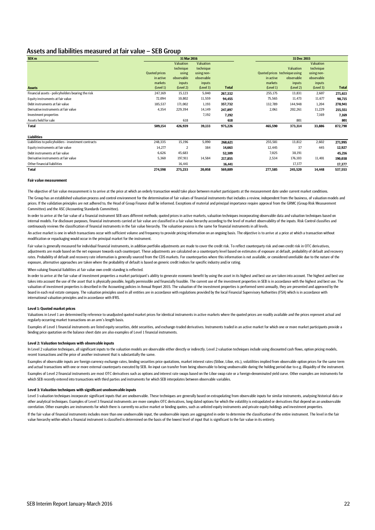#### Assets and liabilities measured at fair value – SEB Group

| SEK <sub>m</sub>                                    |                      | 31 Mar 2016    |                  |              |                               | 31 Dec 2015 |            |              |
|-----------------------------------------------------|----------------------|----------------|------------------|--------------|-------------------------------|-------------|------------|--------------|
|                                                     |                      | Valuation      | <b>Valuation</b> |              |                               |             | Valuation  |              |
|                                                     |                      | technique      | technique        |              |                               | Valuation   | technique  |              |
|                                                     | <b>Quoted prices</b> | using          | using non-       |              | Quoted prices technique using |             | using non- |              |
|                                                     | in active            | observable     | observable       |              | in active                     | observable  | observable |              |
|                                                     | markets              | inputs         | inputs           |              | markets                       | inputs      | inputs     |              |
| <b>Assets</b>                                       | (Level 1)            | (Level 2)      | (Level 3)        | <b>Total</b> | (Level 1)                     | (Level 2)   | (Level 3)  | <b>Total</b> |
| Financial assets - policyholders bearing the risk   | 247,169              | 15,123         | 5,040            | 267,332      | 255,175                       | 13,831      | 2,607      | 271,613      |
| Equity instruments at fair value                    | 72,094               | 10,802         | 11,559           | 94,455       | 75,565                        | 11,473      | 11,677     | 98,715       |
| Debt instruments at fair value                      | 185,537              | 171,002        | 1,193            | 357,732      | 132,789                       | 144,948     | 1,204      | 278,941      |
| Derivative instruments at fair value                | 4,354                | 229,394        | 14,149           | 247,897      | 2,061                         | 202,261     | 11,229     | 215,551      |
| Investment properties                               |                      |                | 7,192            | 7,192        |                               |             | 7,169      | 7,169        |
| Assets held for sale                                |                      | 618            |                  | 618          |                               | 801         |            | 801          |
| Total                                               | 509,154              | 426,939        | 39,133           | 975,226      | 465,590                       | 373,314     | 33,886     | 872,790      |
| <b>Liabilities</b>                                  |                      |                |                  |              |                               |             |            |              |
| Liabilities to policyholders - investment contracts | 248,335              | 15,196         | 5,090            | 268,621      | 255,581                       | 13,812      | 2,602      | 271,995      |
| Equity instruments at fair value                    | 14,277               | $\overline{2}$ | 384              | 14,663       | 12,445                        | 37          | 445        | 12,927       |
| Debt instruments at fair value                      | 6,626                | 45,683         |                  | 52,309       | 7,025                         | 38,191      |            | 45,216       |
| Derivative instruments at fair value                | 5,360                | 197,911        | 14,584           | 217,855      | 2,534                         | 176,103     | 11,401     | 190,038      |
| Other financial liabilities                         |                      | 16,441         |                  | 16,441       |                               | 17,377      |            | 17,377       |
| <b>Total</b>                                        | 274,598              | 275,233        | 20,058           | 569,889      | 277,585                       | 245,520     | 14,448     | 537,553      |

#### **Fair value measurement**

The objective of fair value measurement is to arrive at the price at which an orderly transaction would take place between market participants at the measurement date under current market conditions. The Group has an established valuation process and control environment for the determination of fair values of financial instruments that includes a review, independent from the business, of valuation models and prices. If the validation principles are not adhered to, the Head of Group Finance shall be informed. Exceptions of material and principal importance require approval from the GRMC (Group Risk Measurement Committee) and the ASC (Accounting Standards Committee).

In order to arrive at the fair value of a financial instrument SEB uses different methods; quoted prices in active markets, valuation techniques incorporating observable data and valuation techniques based on internal models. For disclosure purposes, financial instruments carried at fair value are classified in a fair value hierarchy according to the level of market observability of the inputs. Risk Control classifies and continuously reviews the classification of financial instruments in the fair value hierarchy. The valuation process is the same for financial instruments in all levels.

An active market is one in which transactions occur with sufficient volume and frequency to provide pricing information on an ongoing basis. The objective is to arrive at a price at which a transaction without modification or repackaging would occur in the principal market for the instrument.

Fair value is generally measured for individual financial instruments, in addition portfolio adjustments are made to cover the credit risk. To reflect counterparty risk and own credit risk in OTC derivatives, adjustments are made based on the net exposure towards each counterpart. These adjustments are calculated on a counterparty level based on estimates of exposure at default, probability of default and recovery rates. Probability of default and recovery rate information is generally sourced from the CDS markets. For counterparties where this information is not available, or considered unreliable due to the nature of the exposure, alternative approaches are taken where the probability of default is based on generic credit indices for specific industry and/or rating.

When valuing financial liabilities at fair value own credit standing is reflected.

In order to arrive at the fair value of investment properties a market participant's ability to generate economic benefit by using the asset in its highest and best use are taken into account. The highest and best use takes into account the use of the asset that is physically possible, legally permissible and financially feasible. The current use of the investment properties in SEB is in accordance with the highest and best use. The valuation of investment properties is described in the Accounting policies in Annual Report 2015. The valuation of the investment properties is performed semi-annually, they are presented and approved by the board in each real estate company. The valuation principles used in all entities are in accordance with regulations provided by the local Financial Supervisory Authorities (FSA) which is in accordance with international valuation principles and in accordance with IFRS.

#### **Level 1: Quoted market prices**

Valuations in Level 1 are determined by reference to unadjusted quoted market prices for identical instruments in active markets where the quoted prices are readily available and the prices represent actual and regularly occurring market transactions on an arm's length basis.

Examples of Level 1 financial instruments are listed equity securities, debt securities, and exchange-traded derivatives. Instruments traded in an active market for which one or more market participants provide a binding price quotation on the balance sheet date are also examples of Level 1 financial instruments.

#### **Level 2: Valuation techniques with observable inputs**

In Level 2 valuation techniques, all significant inputs to the valuation models are observable either directly or indirectly. Level 2 valuation techniques include using discounted cash flows, option pricing models, recent transactions and the price of another instrument that is substantially the same.

Examples of Level 2 financial instruments are most OTC derivatives such as options and interest rate swaps based on the Libor swap rate or a foreign-denominated yield curve. Other examples are instruments for which SEB recently entered into transactions with third parties and instruments for which SEB interpolates between observable variables. Examples of observable inputs are foreign currency exchange rates, binding securities price quotations, market interest rates (Stibor, Libor, etc.), volatilities implied from observable option prices for the same term and actual transactions with one or more external counterparts executed by SEB. An input can transfer from being observable to being unobservable during the holding period due to e.g. illiquidity of the instrument.

#### **Level 3: Valuation techniques with significant unobservable inputs**

Level 3 valuation techniques incorporate significant inputs that are unobservable. These techniques are generally based on extrapolating from observable inputs for similar instruments, analysing historical data or other analytical techniques. Examples of Level 3 financial instruments are more complex OTC derivatives, long dated options for which the volatility is extrapolated or derivatives that depend on an unobservable correlation. Other examples are instruments for which there is currently no active market or binding quotes, such as unlisted equity instruments and private equity holdings and investment properties.

If the fair value of financial instruments includes more than one unobservable input, the unobservable inputs are aggregated in order to determine the classification of the entire instrument. The level in the fair value hierarchy within which a financial instrument is classified is determined on the basis of the lowest level of input that is significant to the fair value in its entirety.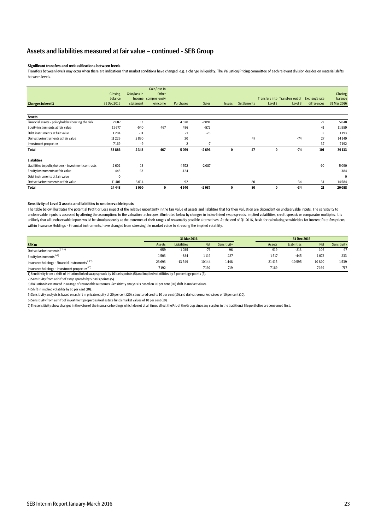#### Assets and liabilities measured at fair value – continued - SEB Group

#### **Significant transfers and reclassifications between levels**

Transfers between levels may occur when there are indications that market conditions have changed, e.g. a change in liquidity. The Valuation/Pricing committee of each relevant division decides on material shifts between levels.

|                                                     | Closing     | Gain/loss in | Gain/loss in<br>Other |                  |         |               |                    |          |                                               |             | Closing     |
|-----------------------------------------------------|-------------|--------------|-----------------------|------------------|---------|---------------|--------------------|----------|-----------------------------------------------|-------------|-------------|
|                                                     | balance     |              | Income comprehensiv   |                  |         |               |                    |          | Transfers into Transfers out of Exchange rate |             | balance     |
| <b>Changes in level 3</b>                           | 31 Dec 2015 | statement    | eincome               | <b>Purchases</b> | Sales   | <b>Issues</b> | <b>Settlements</b> | Level 3  | Level 3                                       | differences | 31 Mar 2016 |
|                                                     |             |              |                       |                  |         |               |                    |          |                                               |             |             |
| <b>Assets</b>                                       |             |              |                       |                  |         |               |                    |          |                                               |             |             |
| Financial assets - policyholders bearing the risk   | 2607        | 13           |                       | 4520             | $-2091$ |               |                    |          |                                               | -9          | 5040        |
| Equity instruments at fair value                    | 11677       | $-540$       | 467                   | 486              | $-572$  |               |                    |          |                                               | 41          | 11559       |
| Debt instruments at fair value                      | 1204        | $-11$        |                       | 21               | $-26$   |               |                    |          |                                               | 5           | 1193        |
| Derivative instruments at fair value                | 11229       | 2890         |                       | 30               |         |               | 47                 |          | $-74$                                         | 27          | 14149       |
| Investment properties                               | 7169        | -9           |                       | 2                | $-7$    |               |                    |          |                                               | 37          | 7192        |
| <b>Total</b>                                        | 33886       | 2343         | 467                   | 5059             | $-2696$ | $\bf{0}$      | 47                 | $\bf{0}$ | $-74$                                         | 101         | 39133       |
| <b>Liabilities</b>                                  |             |              |                       |                  |         |               |                    |          |                                               |             |             |
| Liabilities to policyholders - investment contracts | 2602        | 13           |                       | 4572             | $-2087$ |               |                    |          |                                               | $-10$       | 5090        |
| Equity instruments at fair value                    | 445         | 63           |                       | $-124$           |         |               |                    |          |                                               |             | 384         |
| Debt instruments at fair value                      | $\bf{0}$    |              |                       |                  |         |               |                    |          |                                               |             | $\Omega$    |
| Derivative instruments at fair value                | 11401       | 3014         |                       | 92               |         |               | 80                 |          | $-34$                                         | 31          | 14584       |
| <b>Total</b>                                        | 14448       | 3090         | 0                     | 4540             | $-2087$ | $\bf{0}$      | 80                 | $\bf{0}$ | $-34$                                         | 21          | 20058       |

#### **Sensitivity of Level 3 assets and liabilities to unobservable inputs**

The table below illustrates the potential Profit or Loss impact of the relative uncertainty in the fair value of assets and liabilities that for their valuation are dependent on unobservable inputs. The sensitivity to unobservable inputs is assessed by altering the assumptions to the valuation techniques, illustrated below by changes in index-linked swap spreads, implied volatilities, credit spreads or comparator multiples. It is unlikely that all unobservable inputs would be simultaneously at the extremes of their ranges of reasonably possible alternatives. At the end of Q1 2016, basis for calculating sensitivities for Interest Rate Swaptions, within Insurance Holdings - Financial instruments, have changed from stressing the market value to stressing the implied volatility.

|                                                                                                                                          | 31 Mar 2016 |                    |            |             | 31 Dec 2015 |        |             |       |             |
|------------------------------------------------------------------------------------------------------------------------------------------|-------------|--------------------|------------|-------------|-------------|--------|-------------|-------|-------------|
| SEK <sub>m</sub>                                                                                                                         | Assets      | <b>Liabilities</b> | <b>Net</b> | Sensitivity |             | Assets | Liabilities | Net   | Sensitivity |
| Derivative instruments <sup>1) 2) 4)</sup>                                                                                               | 959         | $-1035$            | $-76$      | 96          |             | 919    | $-813$      | 106   | 97          |
| Equity instruments <sup>3) 6)</sup>                                                                                                      | 1503        | $-384$             | 1119       | 227         |             | 1517   | $-445$      | 1072  | 233         |
| Insurance holdings - Financial instruments <sup>457)</sup>                                                                               | 23 693      | $-13549$           | 10144      | 1448        |             | 21415  | $-10595$    | 10820 | 1539        |
| Insurance holdings - Investment properties <sup>67</sup>                                                                                 | 7192        |                    | 7192       | 719         |             | 7169   |             | 7169  | 717         |
| 1) Sensitivity from a shift of inflation linked swap spreads by 16 basis points (5) and implied volatilities by 5 percentage points (5). |             |                    |            |             |             |        |             |       |             |

2) Sensitivity from a shift of swap spreads by 5 basis points (5).

3) Valuation is estimated in a range of reasonable outcomes. Sensitivity analysis is based on 20 per cent (20) shift in market values.

4) Shift in implied volatility by 10 per cent (10).

5) Sensitivity analysis is based on a shift in private equity of 20 per cent (20), structured credits 10 per cent (10) and derivative market values of 10 per cent (10).

6) Sensitivity from a shift of investment properties/real estate funds market values of 10 per cent (10).

7) The sensitivity show changes in the value of the insurance holdings which do not at all times affect the P/L of the Group since any surplus in the traditional life portfolios are consumed first.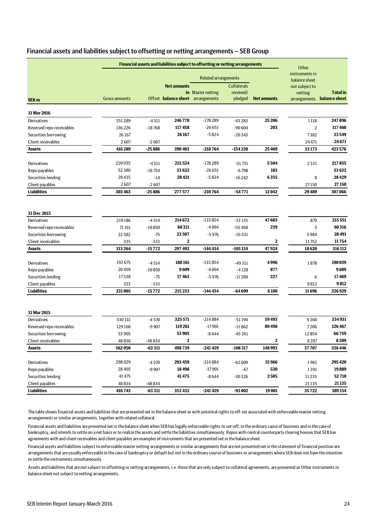| Financial assets and liabilities subject to offsetting or netting arrangements - SEB Group |  |  |
|--------------------------------------------------------------------------------------------|--|--|
|--------------------------------------------------------------------------------------------|--|--|

|                                       | Financial assets and liabilities subject to offsetting or netting arrangements |                    |                                   |                             |                                 |                    |                                 |                            |
|---------------------------------------|--------------------------------------------------------------------------------|--------------------|-----------------------------------|-----------------------------|---------------------------------|--------------------|---------------------------------|----------------------------|
|                                       |                                                                                |                    |                                   | <b>Related arrangements</b> |                                 |                    | instruments in<br>balance sheet |                            |
|                                       |                                                                                |                    | <b>Net amounts</b>                | in Master netting           | <b>Collaterals</b><br>received/ |                    | not subject to<br>netting       | <b>Total</b> in            |
| SEK <sub>m</sub>                      | <b>Gross amounts</b>                                                           |                    | Offset balance sheet arrangements |                             | pledged                         | <b>Net amounts</b> |                                 | arrangements balance sheet |
| 31 Mar 2016                           |                                                                                |                    |                                   |                             |                                 |                    |                                 |                            |
| Derivatives                           | 251289                                                                         | $-4511$            | 246778                            | $-178289$                   | $-43283$                        | 25 206             | 1118                            | 247896                     |
| Reversed repo receivables             | 136226                                                                         | $-18768$           | 117458                            | $-26651$                    | $-90604$                        | 203                | $\overline{2}$                  | 117460                     |
| Securities borrowing                  | 26167                                                                          |                    | 26167                             | $-5824$                     | $-20343$                        |                    | 7382                            | 33549                      |
| Client receivables                    | 2607                                                                           | $-2607$            |                                   |                             |                                 |                    | 24 671                          | 24671                      |
| <b>Assets</b>                         | 416 289                                                                        | $-25886$           | 390403                            | $-210764$                   | $-154230$                       | 25409              | 33173                           | 423576                     |
| Derivatives                           | 220035                                                                         | $-4511$            | 215524                            | $-178289$                   | $-31731$                        | 5504               | 2331                            | 217855                     |
| Repo payables                         | 52386                                                                          | $-18754$           | 33632                             | $-26651$                    | $-6798$                         | 183                |                                 | 33632                      |
| Securities lending                    | 28435                                                                          | $-14$              | 28421                             | $-5824$                     | $-16242$                        | 6355               | 8                               | 28429                      |
| Client payables                       | 2607                                                                           | $-2607$            |                                   |                             |                                 |                    | 27150                           | 27150                      |
| <b>Liabilities</b>                    | 303 463                                                                        | $-25886$           | 277577                            | $-210764$                   | $-54771$                        | 12042              | 29489                           | 307066                     |
|                                       |                                                                                |                    |                                   |                             |                                 |                    |                                 |                            |
| 31 Dec 2015                           |                                                                                |                    |                                   |                             |                                 |                    |                                 |                            |
| Derivatives                           | 219186                                                                         | $-4514$            | 214672                            | $-133854$                   | $-33135$                        | 47683              | 879                             | 215 551                    |
| Reversed repo receivables             | 71 161                                                                         | $-10850$           | 60311                             | $-4604$                     | $-55468$                        | 239                | 5                               | 60316                      |
| Securities borrowing                  | 22582                                                                          | $-75$              | 22507                             | $-5976$                     | $-16531$                        |                    | 5984                            | 28491                      |
| Client receivables                    | 335                                                                            | $-333$             | $\bf 2$                           |                             |                                 | 2                  | 11752                           | 11754                      |
| <b>Assets</b>                         | 313 264                                                                        | $-15772$           | 297492                            | $-144434$                   | $-105134$                       | 47924              | 18620                           | 316 112                    |
| Derivatives                           | 192675                                                                         | $-4514$            | 188161                            | $-133854$                   | $-49311$                        | 4996               | 1878                            | 190 039                    |
| Repo payables                         | 20459                                                                          | $-10850$           | 9609                              | $-4604$                     | $-4128$                         | 877                |                                 | 9609                       |
| Securities lending                    | 17538                                                                          | $-75$              | 17463                             | $-5976$                     | $-11260$                        | 227                | 6                               | 17469                      |
| Client payables                       | 333                                                                            | $-333$             |                                   |                             |                                 |                    | 9812                            | 9812                       |
| <b>Liabilities</b>                    | 231005                                                                         | $-15772$           | 215 233                           | $-144434$                   | -64 699                         | 6100               | 11696                           | 226929                     |
| 31 Mar 2015                           |                                                                                |                    |                                   |                             |                                 |                    |                                 |                            |
| Derivatives                           | 330141                                                                         | $-4570$            | 325571                            | $-214884$                   | $-51194$                        | 59493              | 9360                            | 334931                     |
| Reversed repo receivables             | 129168                                                                         | $-9907$            | 119261                            | $-17901$                    | $-11862$                        | 89498              | 7206                            | 126467                     |
| Securities borrowing                  | 53 905                                                                         |                    | 53905                             | $-8644$                     | $-45261$                        |                    | 12854                           | 66759                      |
| Client receivables                    | 48836                                                                          | -48834             | 2                                 |                             |                                 | 2                  | 8287                            | 8289                       |
| <b>Assets</b>                         | 562050                                                                         | $-63311$           | 498739                            | $-241429$                   | $-108317$                       | 148993             | 37707                           | 536446                     |
|                                       |                                                                                |                    |                                   |                             |                                 |                    |                                 |                            |
| Derivatives                           | 298029                                                                         | $-4570$            | 293459                            | $-214884$                   | $-62609$                        | 15966              | 1961                            | 295420                     |
| Repo payables                         | 28 4 05                                                                        | $-9907$            | 18498                             | $-17901$                    | $-67$                           | 530                | 1391                            | 19889                      |
| Securities lending<br>Client payables | 41 4 7 5                                                                       |                    | 41475                             | $-8644$                     | -30326                          | 2505               | 11 2 35                         | 52710<br>21 1 35           |
| <b>Liabilities</b>                    | 48834<br>416743                                                                | -48834<br>$-63311$ | 353432                            | $-241429$                   | $-93002$                        | 19 001             | 21 1 35<br>35722                | 389 154                    |
|                                       |                                                                                |                    |                                   |                             |                                 |                    |                                 |                            |

The table shows financial assets and liabilities that are presented net in the balance sheet or with potential rights to off-set associated with enforceable master netting arrangements or similar arrangements, together with related collateral.

Financial assets and liabilities are presented net in the balance sheet when SEB has legally enforceable rights to set-off, in the ordinary cause of business and in the case of bankruptcy, and intends to settle on a net basis or to realize the assets and settle the liabilities simultaneously. Repos with central counterparty clearing houses that SEB has agreements with and client receivables and client payables are examples of instruments that are presented net in the balance sheet.

Financial assets and liabilities subject to enforceable master netting arrangements or similar arrangements that are not presented net in the statement of financial position are arrangements that are usually enforceable in the case of bankruptcy or default but not in the ordinary course of business or arrangements where SEB does not have the intention to settle the instruments simultaneously.

Assets and liabilities that are not subject to offsetting or netting arrangements, i.e. those that are only subject to collateral agreements, are presented as Other instruments in balance sheet not subject to netting arrangements.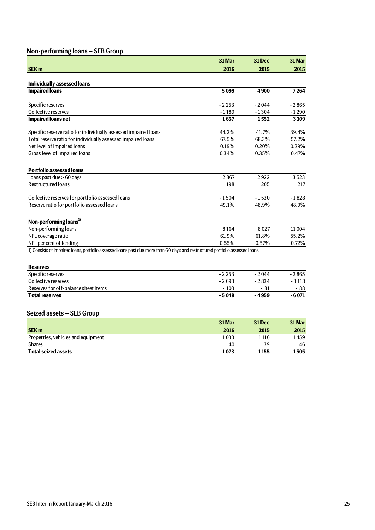# Non-performing loans – SEB Group

|                                                                                                                               | 31 Mar  | 31 Dec  | 31 Mar  |
|-------------------------------------------------------------------------------------------------------------------------------|---------|---------|---------|
| <b>SEK m</b>                                                                                                                  | 2016    | 2015    | 2015    |
|                                                                                                                               |         |         |         |
| <b>Individually assessed loans</b>                                                                                            |         |         |         |
| <b>Impaired loans</b>                                                                                                         | 5099    | 4900    | 7264    |
| Specific reserves                                                                                                             | $-2253$ | $-2044$ | $-2865$ |
| Collective reserves                                                                                                           | $-1189$ | $-1304$ | $-1290$ |
| <b>Impaired loans net</b>                                                                                                     | 1657    | 1552    | 3 1 0 9 |
| Specific reserve ratio for individually assessed impaired loans                                                               | 44.2%   | 41.7%   | 39.4%   |
| Total reserve ratio for individually assessed impaired loans                                                                  | 67.5%   | 68.3%   | 57.2%   |
| Net level of impaired loans                                                                                                   | 0.19%   | 0.20%   | 0.29%   |
| Gross level of impaired loans                                                                                                 | 0.34%   | 0.35%   | 0.47%   |
| <b>Portfolio assessed loans</b>                                                                                               |         |         |         |
| Loans past due > 60 days                                                                                                      | 2867    | 2922    | 3523    |
| <b>Restructured loans</b>                                                                                                     | 198     | 205     | 217     |
| Collective reserves for portfolio assessed loans                                                                              | $-1504$ | $-1530$ | $-1828$ |
| Reserve ratio for portfolio assessed loans                                                                                    | 49.1%   | 48.9%   | 48.9%   |
| Non-performing loans <sup>1)</sup>                                                                                            |         |         |         |
| Non-performing loans                                                                                                          | 8164    | 8027    | 11004   |
| NPL coverage ratio                                                                                                            | 61.9%   | 61.8%   | 55.2%   |
| NPL per cent of lending                                                                                                       | 0.55%   | 0.57%   | 0.72%   |
| 1) Consists of impaired loans, portfolio assessed loans past due more than 60 days and restructured portfolio assessed loans. |         |         |         |
| <b>Reserves</b>                                                                                                               |         |         |         |
| Snacific racarvac                                                                                                             | . 7 753 | $-2011$ | - 2865  |

| Specific reserves                    | $-2253$ | $-2044$ | - 2 8 6 5 |
|--------------------------------------|---------|---------|-----------|
| Collective reserves                  | $-2693$ | - 2834  | - 3 1 1 8 |
| Reserves for off-balance sheet items | $-103$  | - 81    | - 88      |
| <b>Total reserves</b>                | - 5049  | - 4959  | - 6 071   |

# Seized assets – SEB Group

|                                    | 31 Mar | <b>31 Dec</b> | 31 Mar |
|------------------------------------|--------|---------------|--------|
| <b>SEK m</b>                       | 2016   | 2015          | 2015   |
| Properties, vehicles and equipment | 1033   | 1 1 1 6       | 1459   |
| <b>Shares</b>                      | 40     | 39            | 46     |
| <b>Total seized assets</b>         | 1073   | 1 155         | 1505   |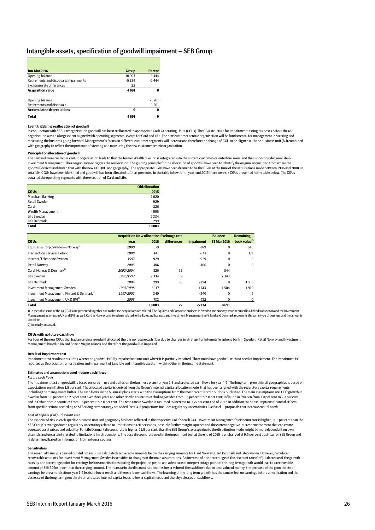#### Intangible assets, specification of goodwill impairment – SEB Group

| <b>Jan-Mar 2016</b>                   | <b>Group</b> | <b>Parent</b> |
|---------------------------------------|--------------|---------------|
| Opening balance                       | 10 003       | 1444          |
| Retirements and disposals/impairments | $-5334$      | $-1444$       |
| Exchange rate differences             | 22           |               |
| <b>Acquisition value</b>              | 4691         | 0             |
|                                       |              |               |
| Opening balance                       |              | $-1201$       |
| Retirements and disposals             |              | 1201          |
| <b>Accumulated depreciations</b>      | $\bf{0}$     | 0             |
| Total                                 | 4691         | 0             |

#### **Event triggering reallocation of goodwill**

In conjunction with SEB´s reorganisation goodwill has been reallocated to appropriate Cash Generating Units (CGUs) The CGU structure for impairment testing purposes before the reorganisation was to a large extent aligned with operating segments, except for Card and Life. The new customer centric organisation will be fundamental for management in steering and measuring the business going forward. Management´s focus on different customer segments will increase and therefore the change of CGU to be aligned with the business unit (BU) combined with geography to reflect the importance of steering and measuring the new customer centric organisation.

#### **Principle for allocation of goodwill**

The new and more customer centric organisation leads to that the former Wealth division is integrated into the current customer-oriented divisions and the supporting division Life & Investment Management. The reorganization triggers the reallocation. The guiding principle for the allocation of goodwill have been to identify the original acquisition from where the goodwill derives and match that with the new CGU (BU and geography). The appropriate CGUs have been deemed to be the CGUs at the time of the acquisitions made between 1996 and 2008. In total 104 CGUs have been identified and goodwill has been allocated to 14 as presented in the table below. Until year-end 2015 there were six CGUs presented in the table below. The CGUs equalled the operating segments with the exception of Card and Life.

|                   | <b>Old allocation</b> |
|-------------------|-----------------------|
| <b>CGUs</b>       | 2015                  |
| Merchant Banking  | 1020                  |
| Retail Sweden     | 929                   |
| Card              | 826                   |
| Wealth Management | 4595                  |
| Life Sweden       | 2334                  |
| Life Denmark      | 299                   |
| <b>Total</b>      | 10003                 |

|                                                        | <b>Acquisition New allocation Exchange rate</b> | <b>Balance</b> | <b>Remaining</b> |                   |             |                          |
|--------------------------------------------------------|-------------------------------------------------|----------------|------------------|-------------------|-------------|--------------------------|
| <b>CGUs</b>                                            | year                                            | 2016           | differences      | <b>Impairment</b> | 31 Mar 2016 | book value <sup>2)</sup> |
| Equities & Corp, Sweden & Norway <sup>1)</sup>         | 2000                                            | 879            |                  | $-879$            | $\bf{0}$    | 645                      |
| <b>Transaction Services Poland</b>                     | 2008                                            | 141            |                  | $-141$            | $\bf{0}$    | 373                      |
| Internet/Telephone Sweden                              | 1997                                            | 929            |                  | $-929$            | $\bf{0}$    | $\Omega$                 |
| <b>Retail Norway</b>                                   | 2005                                            | 406            |                  | $-406$            | $\bf{0}$    | $\bf{0}$                 |
| Card. Norway & Denmark <sup>1)</sup>                   | 2002/2004                                       | 826            | 18               |                   | 844         |                          |
| Life Sweden                                            | 1996/1997                                       | 2334           | 9                |                   | 2343        |                          |
| Life Denmark                                           | 2004                                            | 299            | $-5$             | $-294$            | $\bf{0}$    | 3056                     |
| Investment Management Sweden                           | 1997/1998                                       | 3 1 1 7        |                  | $-1613$           | 1504        | 1919                     |
| Investment Management, Finland & Denmark <sup>1)</sup> | 1997/2002                                       | 340            |                  | $-340$            | $\bf{0}$    | 9                        |
| Investment Management, UK & BVI <sup>1)</sup>          | 2008                                            | 732            |                  | $-732$            | $\bf{0}$    | 0                        |
| <b>Total</b>                                           |                                                 | 10003          | 22               | $-5334$           | 4691        |                          |

1) In the table some of the 14 CGU:s are presented together due to that the acquisitions are related. The Equities and Corporate business in Sweden and Norway were acquired in a linked transaction and the Investment Management activities in UK and BVI as well. Card in Norway and Sweden is related to the Eurocard business and Investment Management in Finland and Denmark represents the same type of business and the amounts are minor.

2) Internally assessed.

#### **CGUs with no future cash flow**

For four of the new CGUs that had an original goodwill allocated there is no future cash flow due to changes in strategy for Internet/Telephone bank in Sweden, Retail Norway and Investment Management based in UK and British Virgin Islands and therefore the goodwill is impaired.

#### **Result of impairment test**

Impairment test results in six units where the goodwill is fully impaired and one unit where it is partially impaired. Three units have goodwill with no need of impairment. The impairment is reported as Depreciation, amortisation and impairment of tangible and intangible assets in within Other in the income statement.

#### **Estimates and assumptions used - future cash flows**

*Future cash flows* The impairment test on goodwill is based on value in use and builds on the business plans for year 1-3 and projected cash flows for year 4-5. The long term growth in all geographies is based on

expectations on inflation 1.5 per cent. The allocated capital is derived from the Group's internal capital allocation model that has been aligned with the regulatory capital requirements including the management buffer. The cash flows in the business plans starts with the assumptions from the most recent Nordic outlook published. The main assumptions are; GDP growth in Sweden from 3.6 per cent to 2.5 per cent over three years and other Nordic countries excluding Sweden from 1.5 per cent to 2.0 per cent; inflation in Sweden from 1.0 per cent to 2.3 per cent and in Other Nordic countries from 1.5 per cent to 2.0 per cent. The repo rate in Sweden is assumed to increase to 0.75 per cent end of 2017. In addition to the assumptions financial effects<br>from specific actions according

#### *Cost of capital (CoE) - discount rate*

The associated risk in each specific business unit and geography has been reflected in the respective CoE for each CGU. Investment Management´s discount rate is higher, 11.5 per cent than the SEB Group´s average due to regulatory uncertainty related to limitations to retrocessions, possible further margin squeeze and the current negative interest environment that can create<br>squeezed asset prices and volatility. channels and uncertainty related to limitations in retrocessions. The base discount rate used in the impairment test at the end of 2015 is unchanged at 9.5 per cent post-tax for SEB Group and is determined based on information from external sources.

#### **Sensitivities**

The sensitivity analysis carried out did not result in calculated recoverable amounts below the carrying amounts for Card Norway, Card Denmark and Life Sweden. However, calculated recoverable amounts for Investment Management Sweden is sensitive to changes in the main assumptions. An increase of one percentage of the discount rate (CoE), a decrease of the growth rates by one percentage point for earnings before amortisations during the projection period and a decrease of one percentage point of the long term growth would lead to a recoverable amount of SEK 307m lower than the carrying amount. The increase in the discount rate implies lower value of the cashflows due to time value of money, the decrease of the growth rate of earnings before amortisations year 1-5 leads to lower result and thereby lower cashflows. The lowering of the long term growth has the same effect on earnings before amortization and the decrease of the long term growth rate on allocated internal capital leads to lower capital needs and thereby releases of cashflows.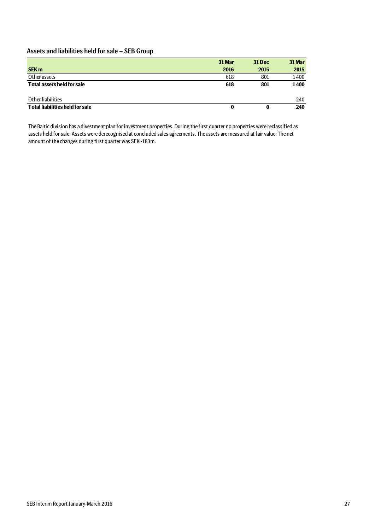# Assets and liabilities held for sale – SEB Group

|                                        | 31 Mar | <b>31 Dec</b> | 31 Mar |
|----------------------------------------|--------|---------------|--------|
| <b>SEK m</b>                           | 2016   | 2015          | 2015   |
| Other assets                           | 618    | 801           | 1400   |
| <b>Total assets held for sale</b>      | 618    | 801           | 1400   |
| Other liabilities                      |        |               | 240    |
| <b>Total liabilities held for sale</b> |        | 0             | 240    |

The Baltic division has a divestment plan for investment properties. During the first quarter no properties were reclassified as assets held for sale. Assets were derecognised at concluded sales agreements. The assets are measured at fair value. The net amount of the changes during first quarter was SEK -183m.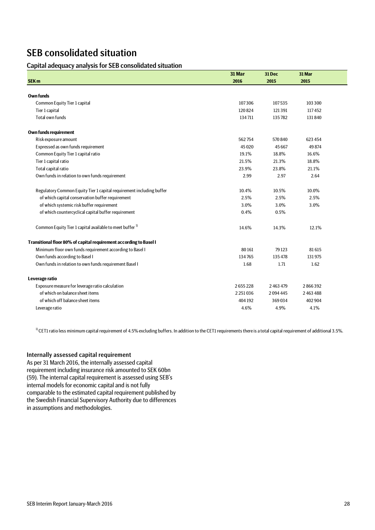# SEB consolidated situation

## Capital adequacy analysis for SEB consolidated situation

|                                                                      | 31 Mar  | 31 Dec        | 31 Mar  |
|----------------------------------------------------------------------|---------|---------------|---------|
| <b>SEK m</b>                                                         | 2016    | 2015          | 2015    |
|                                                                      |         |               |         |
| <b>Own funds</b>                                                     |         |               |         |
| Common Equity Tier 1 capital                                         | 107306  | 107535        | 103 300 |
| Tier 1 capital                                                       | 120824  | 121391        | 117452  |
| Total own funds                                                      | 134711  | 135782        | 131840  |
| Own funds requirement                                                |         |               |         |
| Risk exposure amount                                                 | 562754  | 570840        | 623 454 |
| Expressed as own funds requirement                                   | 45 0 20 | 45 667        | 49874   |
| Common Equity Tier 1 capital ratio                                   | 19.1%   | 18.8%         | 16.6%   |
| Tier 1 capital ratio                                                 | 21.5%   | 21.3%         | 18.8%   |
| Total capital ratio                                                  | 23.9%   | 23.8%         | 21.1%   |
| Own funds in relation to own funds requirement                       | 2.99    | 2.97          | 2.64    |
| Regulatory Common Equity Tier 1 capital requirement including buffer | 10.4%   | 10.5%         | 10.0%   |
| of which capital conservation buffer requirement                     | 2.5%    | 2.5%          | 2.5%    |
| of which systemic risk buffer requirement                            | 3.0%    | 3.0%          | 3.0%    |
| of which countercyclical capital buffer requirement                  | 0.4%    | 0.5%          |         |
| Common Equity Tier 1 capital available to meet buffer <sup>1)</sup>  | 14.6%   | 14.3%         | 12.1%   |
| Transitional floor 80% of capital requirement according to Basel I   |         |               |         |
| Minimum floor own funds requirement according to Basel I             | 80161   | 79 1 23       | 81615   |
| Own funds according to Basel I                                       | 134765  | 135 478       | 131975  |
| Own funds in relation to own funds requirement Basel I               | 1.68    | 1.71          | 1.62    |
| Leverage ratio                                                       |         |               |         |
| Exposure measure for leverage ratio calculation                      | 2655228 | 2 4 6 3 4 7 9 | 2866392 |
| of which on balance sheet items                                      | 2251036 | 2094445       | 2463488 |
| of which off balance sheet items                                     | 404 192 | 369034        | 402 904 |
| Leverage ratio                                                       | 4.6%    | 4.9%          | 4.1%    |

 $10$  CET1 ratio less minimum capital requirement of 4.5% excluding buffers. In addition to the CET1 requirements there is a total capital requirement of additional 3.5%.

### Internally assessed capital requirement

As per 31 March 2016, the internally assessed capital requirement including insurance risk amounted to SEK 60bn (59). The internal capital requirement is assessed using SEB's internal models for economic capital and is not fully comparable to the estimated capital requirement published by the Swedish Financial Supervisory Authority due to differences in assumptions and methodologies.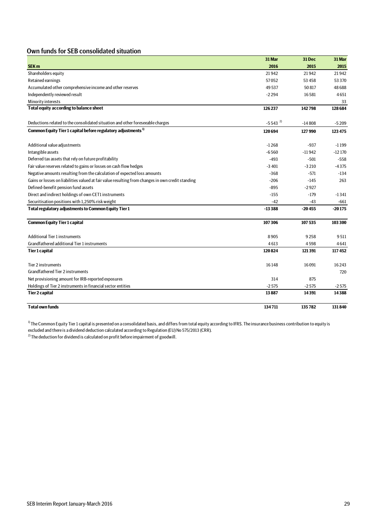# Own funds for SEB consolidated situation

|                                                                                                   | 31 Mar                | 31 Dec   | 31 Mar   |
|---------------------------------------------------------------------------------------------------|-----------------------|----------|----------|
| <b>SEK m</b>                                                                                      | 2016                  | 2015     | 2015     |
| Shareholders equity                                                                               | 21942                 | 21942    | 21942    |
| Retained earnings                                                                                 | 57052                 | 53 4 58  | 53 3 70  |
| Accumulated other comprehensive income and other reserves                                         | 49537                 | 50817    | 48688    |
| Independently reviewed result                                                                     | $-2294$               | 16581    | 4651     |
| Minority interests                                                                                |                       |          | 33       |
| Total equity according to balance sheet                                                           | 126 237               | 142798   | 128 684  |
| Deductions related to the consolidated situation and other foreseeable charges                    | $-5543$ <sup>2)</sup> | $-14808$ | $-5209$  |
| Common Equity Tier 1 capital before regulatory adjustments <sup>1)</sup>                          | 120694                | 127990   | 123 475  |
| Additional value adjustments                                                                      | $-1268$               | $-937$   | $-1199$  |
| Intangible assets                                                                                 | $-6560$               | $-11942$ | $-12170$ |
| Deferred tax assets that rely on future profitability                                             | $-493$                | $-501$   | $-558$   |
| Fair value reserves related to gains or losses on cash flow hedges                                | $-3401$               | $-3210$  | $-4375$  |
| Negative amounts resulting from the calculation of expected loss amounts                          | $-368$                | $-571$   | $-134$   |
| Gains or losses on liabilities valued at fair value resulting from changes in own credit standing | $-206$                | $-145$   | 263      |
| Defined-benefit pension fund assets                                                               | $-895$                | $-2927$  |          |
| Direct and indirect holdings of own CET1 instruments                                              | $-155$                | $-179$   | $-1341$  |
| Securitisation positions with 1,250% risk weight                                                  | $-42$                 | -43      | $-661$   |
| Total regulatory adjustments to Common Equity Tier 1                                              | $-13388$              | $-20455$ | $-20175$ |
| <b>Common Equity Tier 1 capital</b>                                                               | 107306                | 107535   | 103 300  |
| <b>Additional Tier 1 instruments</b>                                                              | 8905                  | 9258     | 9511     |
| Grandfathered additional Tier 1 instruments                                                       | 4613                  | 4598     | 4641     |
| Tier 1 capital                                                                                    | 120824                | 121391   | 117452   |
| Tier 2 instruments                                                                                | 16148                 | 16091    | 16243    |
| Grandfathered Tier 2 instruments                                                                  |                       |          | 720      |
| Net provisioning amount for IRB-reported exposures                                                | 314                   | 875      |          |
| Holdings of Tier 2 instruments in financial sector entities                                       | $-2575$               | $-2575$  | $-2575$  |
| <b>Tier 2 capital</b>                                                                             | 13887                 | 14391    | 14388    |
| <b>Total own funds</b>                                                                            | 134711                | 135782   | 131840   |

 $^{13}$  The Common Equity Tier 1 capital is presented on a consolidated basis, and differs from total equity according to IFRS. The insurance business contribution to equity is excluded and there is a dividend deduction calculated according to Regulation (EU) No 575/2013 (CRR).

 $^{2)}$  The deduction for dividend is calculated on profit before impairment of goodwill.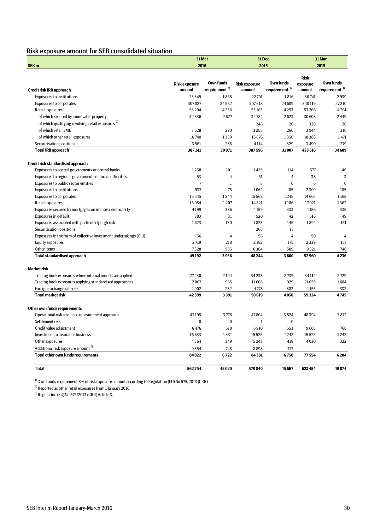# Risk exposure amount for SEB consolidated situation

|                                                                   | 31 Mar               |                           |                      | 31 Dec                    |             | 31 Mar                    |
|-------------------------------------------------------------------|----------------------|---------------------------|----------------------|---------------------------|-------------|---------------------------|
| SEK <sub>m</sub>                                                  | 2016                 |                           | 2015                 |                           |             | 2015                      |
|                                                                   |                      |                           |                      |                           | <b>Risk</b> |                           |
|                                                                   | <b>Risk exposure</b> | <b>Own funds</b>          | <b>Risk exposure</b> | Own funds                 | exposure    | Own funds                 |
| Credit risk IRB approach                                          | amount               | requirement <sup>1)</sup> | amount               | requirement <sup>1)</sup> | amount      | requirement <sup>1)</sup> |
| <b>Exposures to institutions</b>                                  | 23 3 4 9             | 1868                      | 22701                | 1816                      | 36741       | 2939                      |
| <b>Exposures to corporates</b>                                    | 307027               | 24562                     | 307618               | 24609                     | 340119      | 27210                     |
| Retail exposures                                                  | 53 204               | 4256                      | 53 163               | 4253                      | 53 266      | 4261                      |
| of which secured by immovable property                            | 32836                | 2627                      | 32784                | 2623                      | 30608       | 2449                      |
| of which qualifying revolving retail exposures <sup>2)</sup>      |                      |                           | 248                  | 20                        | 326         | 26                        |
| of which retail SME                                               | 3628                 | 290                       | 3255                 | 260                       | 3944        | 316                       |
| of which other retail exposures                                   | 16740                | 1339                      | 16876                | 1350                      | 18388       | 1471                      |
| Securitisation positions                                          | 3561                 | 285                       | 4114                 | 329                       | 3 4 9 0     | 279                       |
| <b>Total IRB approach</b>                                         | 387141               | 30971                     | 387596               | 31007                     | 433 616     | 34689                     |
| Credit risk standardised approach                                 |                      |                           |                      |                           |             |                           |
| Exposures to central governments or central banks                 | 1258                 | 101                       | 1425                 | 114                       | 577         | 46                        |
| Exposures to regional governments or local authorities            | 53                   | $\overline{4}$            | 51                   | $\overline{4}$            | 38          | 3                         |
| Exposures to public sector entities                               | $\overline{7}$       | $\mathbf{1}$              | 5                    | $\Omega$                  | 6           | $\theta$                  |
| <b>Exposures to institutions</b>                                  | 937                  | 75                        | 1062                 | 85                        | 2309        | 185                       |
| <b>Exposures to corporates</b>                                    | 15545                | 1244                      | 15568                | 1245                      | 14605       | 1168                      |
| Retail exposures                                                  | 15084                | 1207                      | 14821                | 1186                      | 17021       | 1362                      |
| Exposures secured by mortgages on immovable property              | 4199                 | 336                       | 4159                 | 333                       | 4186        | 335                       |
| Exposures in default                                              | 383                  | 31                        | 520                  | 42                        | 616         | 49                        |
| Exposures associated with particularly high risk                  | 1623                 | 130                       | 1823                 | 146                       | 1892        | 151                       |
| Securitisation positions                                          |                      |                           | 208                  | 17                        |             |                           |
| Exposures in the form of collective investment undertakings (CIU) | 56                   | $\overline{4}$            | 56                   | $\overline{4}$            | 50          | $\overline{4}$            |
| Equity exposures                                                  | 2719                 | 218                       | 2182                 | 175                       | 2339        | 187                       |
| Other items                                                       | 7328                 | 585                       | 6364                 | 509                       | 9321        | 746                       |
| <b>Total standardised approach</b>                                | 49192                | 3936                      | 48244                | 3860                      | 52960       | 4236                      |
| <b>Market risk</b>                                                |                      |                           |                      |                           |             |                           |
| Trading book exposures where internal models are applied          | 27430                | 2194                      | 34233                | 2739                      | 34114       | 2729                      |
| Trading book exposures applying standardised approaches           | 12067                | 965                       | 11608                | 929                       | 21055       | 1684                      |
| Foreign exchange rate risk                                        | 2902                 | 232                       | 4778                 | 382                       | 4155        | 332                       |
| <b>Total market risk</b>                                          | 42399                | 3391                      | 50619                | 4050                      | 59324       | 4745                      |
| Other own funds requirements                                      |                      |                           |                      |                           |             |                           |
| Operational risk advanced measurement approach                    | 47195                | 3776                      | 47804                | 3824                      | 48394       | 3872                      |
| Settlement risk                                                   | $\bf{0}$             | $\pmb{0}$                 | $\mathbf 1$          | $\mathbf{0}$              |             |                           |
| Credit value adjustment                                           | 6476                 | 518                       | 6910                 | 553                       | 9605        | 768                       |
| Investment in insurance business                                  | 16633                | 1331                      | 15525                | 1242                      | 15525       | 1242                      |
| Other exposures                                                   | 4364                 | 349                       | 5243                 | 419                       | 4030        | 322                       |
| Additional risk exposure amount <sup>3)</sup>                     | 9354                 | 748                       | 8898                 | 712                       |             |                           |
| <b>Total other own funds requirements</b>                         | 84022                | 6722                      | 84381                | 6750                      | 77554       | 6204                      |
| <b>Total</b>                                                      | 562754               | 45 0 20                   | 570840               | 45667                     | 623 454     | 49874                     |

<sup>1)</sup> Own funds requirement 8% of risk exposure amount according to Regulation (EU) No 575/2013 (CRR).

 $^{2)}$ Reported as other retail exposures from 1 January 2016.

 $^{3)}$  Regulation (EU) No 575/2013 (CRR) Article 3.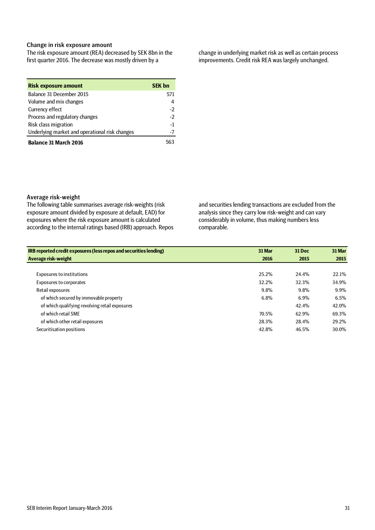### Change in risk exposure amount

The risk exposure amount (REA) decreased by SEK 8bn in the first quarter 2016. The decrease was mostly driven by a

| <b>Risk exposure amount</b>                    | <b>SEK bn</b> |
|------------------------------------------------|---------------|
| Balance 31 December 2015                       | 571           |
| Volume and mix changes                         | 4             |
| Currency effect                                | -2            |
| Process and regulatory changes                 | $-2$          |
| Risk class migration                           | -1            |
| Underlying market and operational risk changes |               |
| <b>Balance 31 March 2016</b>                   |               |

change in underlying market risk as well as certain process improvements. Credit risk REA was largely unchanged.

### Average risk-weight

The following table summarises average risk-weights (risk exposure amount divided by exposure at default, EAD) for exposures where the risk exposure amount is calculated according to the internal ratings based (IRB) approach. Repos and securities lending transactions are excluded from the analysis since they carry low risk-weight and can vary considerably in volume, thus making numbers less comparable.

| IRB reported credit exposures (less repos and securities lending) | 31 Mar | <b>31 Dec</b> | 31 Mar |
|-------------------------------------------------------------------|--------|---------------|--------|
| Average risk-weight                                               | 2016   | 2015          | 2015   |
|                                                                   |        |               |        |
| <b>Exposures to institutions</b>                                  | 25.2%  | 24.4%         | 22.1%  |
| <b>Exposures to corporates</b>                                    | 32.2%  | 32.3%         | 34.9%  |
| Retail exposures                                                  | 9.8%   | 9.8%          | 9.9%   |
| of which secured by immovable property                            | 6.8%   | $6.9\%$       | 6.5%   |
| of which qualifying revolving retail exposures                    |        | 42.4%         | 42.0%  |
| of which retail SME                                               | 70.5%  | 62.9%         | 69.3%  |
| of which other retail exposures                                   | 28.3%  | 28.4%         | 29.2%  |
| Securitisation positions                                          | 42.8%  | 46.5%         | 30.0%  |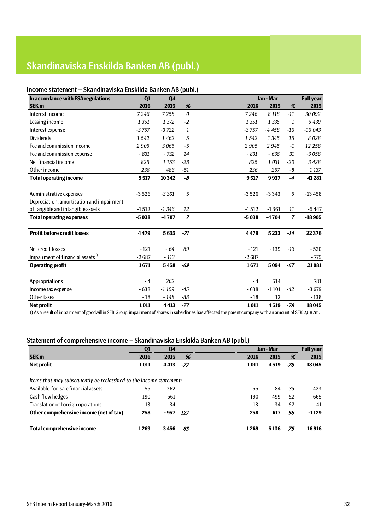# Skandinaviska Enskilda Banken AB (publ.)

### Income statement – Skandinaviska Enskilda Banken AB (publ.)

| In accordance with FSA regulations           | Q1      | <b>Q4</b> |                  | Jan - Mar |         |                | <b>Full year</b> |
|----------------------------------------------|---------|-----------|------------------|-----------|---------|----------------|------------------|
| <b>SEK m</b>                                 | 2016    | 2015      | %                | 2016      | 2015    | %              | 2015             |
| Interest income                              | 7246    | 7258      | $\boldsymbol{0}$ | 7246      | 8 1 1 8 | $-11$          | 30 092           |
| Leasing income                               | 1 3 5 1 | 1 372     | $-2$             | 1 3 5 1   | 1 3 3 5 | 1              | 5 4 3 9          |
| Interest expense                             | $-3757$ | $-3722$   | 1                | $-3757$   | $-4458$ | $-16$          | $-16043$         |
| <b>Dividends</b>                             | 1542    | 1462      | 5                | 1542      | 1 3 4 5 | 15             | 8028             |
| Fee and commission income                    | 2905    | 3065      | -5               | 2905      | 2945    | $-1$           | 12 258           |
| Fee and commission expense                   | $-831$  | $-732$    | 14               | $-831$    | $-636$  | 31             | $-3058$          |
| Net financial income                         | 825     | 1 1 5 3   | $-28$            | 825       | 1 0 3 1 | $-20$          | 3428             |
| Other income                                 | 236     | 486       | $-51$            | 236       | 257     | -8             | 1 1 3 7          |
| <b>Total operating income</b>                | 9517    | 10342     | -8               | 9517      | 9937    | $-4$           | 41 281           |
|                                              |         |           |                  |           |         |                |                  |
| Administrative expenses                      | $-3526$ | $-3361$   | 5                | $-3526$   | $-3343$ | 5              | $-13458$         |
| Depreciation, amortisation and impairment    |         |           |                  |           |         |                |                  |
| of tangible and intangible assets            | $-1512$ | $-1346$   | 12               | $-1512$   | $-1361$ | 11             | $-5447$          |
| <b>Total operating expenses</b>              | $-5038$ | $-4707$   | $\overline{z}$   | $-5038$   | $-4704$ | $\overline{z}$ | $-18905$         |
| <b>Profit before credit losses</b>           | 4479    | 5635      | $-21$            | 4479      | 5233    | $-14$          | 22376            |
| Net credit losses                            | $-121$  | $-64$     | 89               | $-121$    | $-139$  | $-13$          | $-520$           |
| Impairment of financial assets <sup>1)</sup> | $-2687$ | $-113$    |                  | $-2687$   |         |                | - 775            |
| <b>Operating profit</b>                      | 1671    | 5458      | -69              | 1671      | 5094    | $-67$          | 21 081           |
|                                              |         |           |                  |           |         |                |                  |
| Appropriations                               | $-4$    | 262       |                  | $-4$      | 514     |                | 781              |
| Income tax expense                           | $-638$  | $-1159$   | $-45$            | $-638$    | $-1101$ | $-42$          | $-3679$          |
| Other taxes                                  | $-18$   | $-148$    | $-88$            | $-18$     | 12      |                | $-138$           |
| <b>Net profit</b>                            | 1011    | 4413      | $-77$            | 1011      | 4519    | $-78$          | 18045            |

1) As a result of impairment of goodwill in SEB Group, impairment of shares in subsidiaries has affected the parent company with an amount of SEK 2,687m.

### Statement of comprehensive income – Skandinaviska Enskilda Banken AB (publ.)

|                                                                      | Q1   | Q <sub>4</sub> |       |      | Jan - Mar |     | <b>Full year</b> |
|----------------------------------------------------------------------|------|----------------|-------|------|-----------|-----|------------------|
| <b>SEK m</b>                                                         | 2016 | 2015           | %     | 2016 | 2015      | %   | 2015             |
| Net profit                                                           | 1011 | 4413           | $-77$ | 1011 | 4519      | -78 | 18045            |
| Items that may subsequently be reclassified to the income statement: |      |                |       |      |           |     |                  |
| Available-for-sale financial assets                                  | 55   | $-362$         |       | 55   | 84        | -35 | - 423            |
| Cash flow hedges                                                     | 190  | $-561$         |       | 190  | 499       | -62 | $-665$           |
| Translation of foreign operations                                    | 13   | $-34$          |       | 13   | 34        | -62 | $-41$            |
| Other comprehensive income (net of tax)                              | 258  | -957 -127      |       | 258  | 617       | -58 | $-1129$          |
| <b>Total comprehensive income</b>                                    | 1269 | 3456           | -63   | 1269 | 5136      | -75 | 16916            |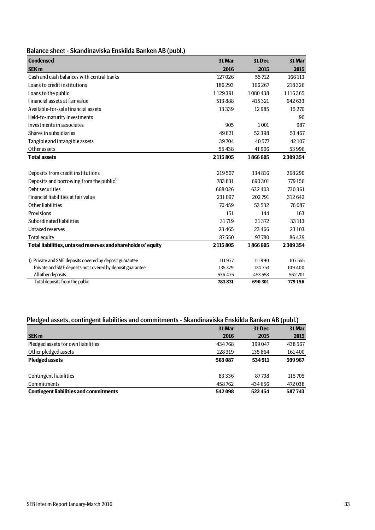|  | Balance sheet - Skandinaviska Enskilda Banken AB (publ.) |  |  |  |
|--|----------------------------------------------------------|--|--|--|
|--|----------------------------------------------------------|--|--|--|

| <b>Condensed</b>                                             | 31 Mar  | 31 Dec  | 31 Mar  |
|--------------------------------------------------------------|---------|---------|---------|
| <b>SEK m</b>                                                 | 2016    | 2015    | 2015    |
| Cash and cash balances with central banks                    | 127026  | 55712   | 166 113 |
| Loans to credit institutions                                 | 186293  | 166267  | 218326  |
| Loans to the public                                          | 1129391 | 1080438 | 1116365 |
| Financial assets at fair value                               | 513888  | 415321  | 642 633 |
| Available-for-sale financial assets                          | 13339   | 12985   | 15 2 70 |
| Held-to-maturity investments                                 |         |         | 90      |
| Investments in associates                                    | 905     | 1 0 0 1 | 987     |
| Shares in subsidiaries                                       | 49821   | 52398   | 53 467  |
| Tangible and intangible assets                               | 39704   | 40577   | 42 107  |
| Other assets                                                 | 55438   | 41906   | 53 996  |
| <b>Total assets</b>                                          | 2115805 | 1866605 | 2309354 |
|                                                              |         |         |         |
| Deposits from credit institutions                            | 219507  | 134816  | 268290  |
| Deposits and borrowing from the public <sup>1)</sup>         | 783831  | 690301  | 779 156 |
| Debt securities                                              | 668026  | 632 403 | 730361  |
| Financial liabilities at fair value                          | 231097  | 202791  | 312642  |
| Other liabilities                                            | 70459   | 53 5 32 | 76087   |
| Provisions                                                   | 151     | 144     | 163     |
| Subordinated liabilities                                     | 31719   | 31372   | 33 113  |
| Untaxed reserves                                             | 23 4 65 | 23 4 66 | 23 10 3 |
| Total equity                                                 | 87550   | 97780   | 86439   |
| Total liabilities, untaxed reserves and shareholders' equity | 2115805 | 1866605 | 2309354 |
|                                                              |         |         |         |
| 1) Private and SME deposits covered by deposit guarantee     | 111977  | 111990  | 107555  |
| Private and SME deposits not covered by deposit guarantee    | 135379  | 124 753 | 109 400 |
| All other deposits                                           | 536 475 | 453 558 | 562201  |
| Total deposits from the public                               | 783831  | 690 301 | 779 156 |

# Pledged assets, contingent liabilities and commitments - Skandinaviska Enskilda Banken AB (publ.)

|                                               | 31 Mar   | <b>31 Dec</b> | 31 Mar  |
|-----------------------------------------------|----------|---------------|---------|
| <b>SEK m</b>                                  | 2016     | 2015          | 2015    |
| Pledged assets for own liabilities            | 434768   | 399047        | 438567  |
| Other pledged assets                          | 128319   | 135 864       | 161400  |
| <b>Pledged assets</b>                         | 563087   | 534911        | 599967  |
|                                               |          |               |         |
| <b>Contingent liabilities</b>                 | 83 3 3 6 | 87798         | 115 705 |
| <b>Commitments</b>                            | 458762   | 434 656       | 472 038 |
| <b>Contingent liabilities and commitments</b> | 542098   | 522454        | 587743  |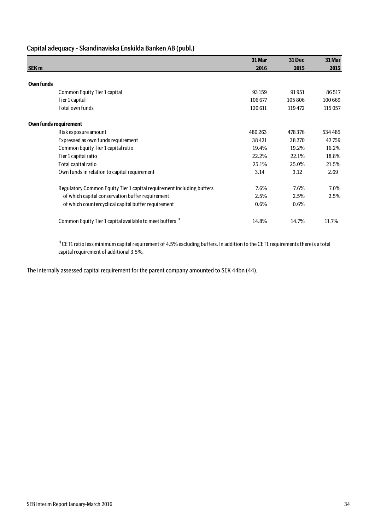# Capital adequacy - Skandinaviska Enskilda Banken AB (publ.)

|                       |                                                                       | 31 Mar | <b>31 Dec</b> | 31 Mar  |
|-----------------------|-----------------------------------------------------------------------|--------|---------------|---------|
| <b>SEK m</b>          |                                                                       | 2016   | 2015          | 2015    |
|                       |                                                                       |        |               |         |
| Own funds             |                                                                       |        |               |         |
|                       | Common Equity Tier 1 capital                                          | 93 159 | 91951         | 86517   |
|                       | Tier 1 capital                                                        | 106677 | 105806        | 100 669 |
|                       | Total own funds                                                       | 120611 | 119 472       | 115 057 |
| Own funds requirement |                                                                       |        |               |         |
|                       | Risk exposure amount                                                  | 480263 | 478 376       | 534485  |
|                       | Expressed as own funds requirement                                    | 38421  | 38 2 70       | 42759   |
|                       | Common Equity Tier 1 capital ratio                                    | 19.4%  | 19.2%         | 16.2%   |
|                       | Tier 1 capital ratio                                                  | 22.2%  | 22.1%         | 18.8%   |
|                       | Total capital ratio                                                   | 25.1%  | 25.0%         | 21.5%   |
|                       | Own funds in relation to capital requirement                          | 3.14   | 3.12          | 2.69    |
|                       | Regulatory Common Equity Tier 1 capital requirement including buffers | 7.6%   | 7.6%          | $7.0\%$ |
|                       | of which capital conservation buffer requirement                      | 2.5%   | 2.5%          | 2.5%    |
|                       | of which countercyclical capital buffer requirement                   | 0.6%   | 0.6%          |         |
|                       | Common Equity Tier 1 capital available to meet buffers <sup>1)</sup>  | 14.8%  | 14.7%         | 11.7%   |

 $1)$  CET1 ratio less minimum capital requirement of 4.5% excluding buffers. In addition to the CET1 requirements there is a total capital requirement of additional 3.5%.

The internally assessed capital requirement for the parent company amounted to SEK 44bn (44).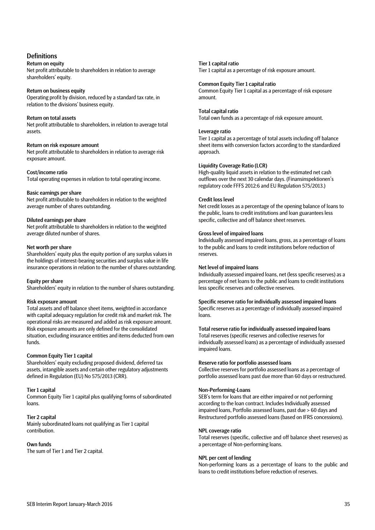## **Definitions**

#### Return on equity

Net profit attributable to shareholders in relation to average shareholders' equity.

#### Return on business equity

Operating profit by division, reduced by a standard tax rate, in relation to the divisions' business equity.

#### Return on total assets

Net profit attributable to shareholders, in relation to average total assets.

#### Return on risk exposure amount

Net profit attributable to shareholders in relation to average risk exposure amount.

#### Cost/income ratio

Total operating expenses in relation to total operating income.

#### Basic earnings per share

Net profit attributable to shareholders in relation to the weighted average number of shares outstanding.

#### Diluted earnings per share

Net profit attributable to shareholders in relation to the weighted average diluted number of shares.

#### Net worth per share

Shareholders' equity plus the equity portion of any surplus values in the holdings of interest-bearing securities and surplus value in life insurance operations in relation to the number of shares outstanding.

#### Equity per share

Shareholders' equity in relation to the number of shares outstanding.

#### Risk exposure amount

Total assets and off balance sheet items, weighted in accordance with capital adequacy regulation for credit risk and market risk. The operational risks are measured and added as risk exposure amount. Risk exposure amounts are only defined for the consolidated situation, excluding insurance entities and items deducted from own funds.

#### Common Equity Tier 1 capital

Shareholders' equity excluding proposed dividend, deferred tax assets, intangible assets and certain other regulatory adjustments defined in Regulation (EU) No 575/2013 (CRR).

#### Tier 1 capital

Common Equity Tier 1 capital plus qualifying forms of subordinated loans.

#### Tier 2 capital

Mainly subordinated loans not qualifying as Tier 1 capital contribution.

#### Own funds

The sum of Tier 1 and Tier 2 capital.

#### Tier 1 capital ratio

Tier 1 capital as a percentage of risk exposure amount.

#### Common Equity Tier 1 capital ratio

Common Equity Tier 1 capital as a percentage of risk exposure amount.

#### Total capital ratio

Total own funds as a percentage of risk exposure amount.

#### Leverage ratio

Tier 1 capital as a percentage of total assets including off balance sheet items with conversion factors according to the standardized approach.

#### Liquidity Coverage Ratio (LCR)

High-quality liquid assets in relation to the estimated net cash outflows over the next 30 calendar days. (Finansinspektionen's regulatory code FFFS 2012:6 and EU Regulation 575/2013.)

#### Credit loss level

Net credit losses as a percentage of the opening balance of loans to the public, loans to credit institutions and loan guarantees less specific, collective and off balance sheet reserves.

#### Gross level of impaired loans

Individually assessed impaired loans, gross, as a percentage of loans to the public and loans to credit institutions before reduction of reserves.

#### Net level of impaired loans

Individually assessed impaired loans, net (less specific reserves) as a percentage of net loans to the public and loans to credit institutions less specific reserves and collective reserves.

Specific reserve ratio for individually assessed impaired loans Specific reserves as a percentage of individually assessed impaired loans.

## Total reserve ratio for individually assessed impaired loans

Total reserves (specific reserves and collective reserves for individually assessed loans) as a percentage of individually assessed impaired loans.

#### Reserve ratio for portfolio assessed loans

Collective reserves for portfolio assessed loans as a percentage of portfolio assessed loans past due more than 60 days or restructured.

#### Non-Performing-Loans

SEB's term for loans that are either impaired or not performing according to the loan contract. Includes Individually assessed impaired loans, Portfolio assessed loans, past due > 60 days and Restructured portfolio assessed loans (based on IFRS concessions).

#### NPL coverage ratio

Total reserves (specific, collective and off balance sheet reserves) as a percentage of Non-performing loans.

#### NPL per cent of lending

Non-performing loans as a percentage of loans to the public and loans to credit institutions before reduction of reserves.